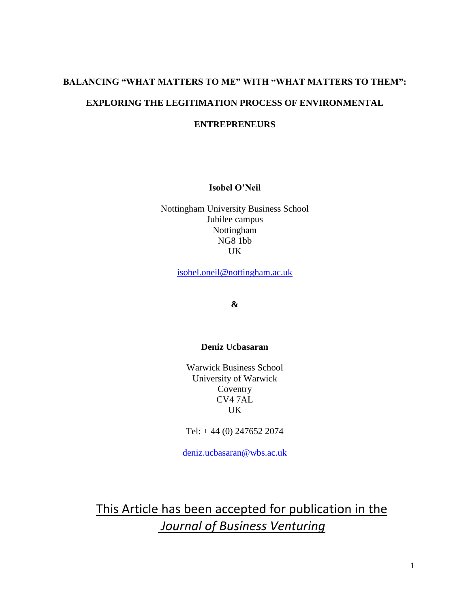# **BALANCING "WHAT MATTERS TO ME" WITH "WHAT MATTERS TO THEM": EXPLORING THE LEGITIMATION PROCESS OF ENVIRONMENTAL**

## **ENTREPRENEURS**

**Isobel O'Neil**

Nottingham University Business School Jubilee campus Nottingham NG8 1bb UK

[isobel.oneil@nottingham.ac.uk](mailto:isobel.oneil@nottingham.ac.uk)

**&**

## **Deniz Ucbasaran**

Warwick Business School University of Warwick Coventry CV4 7AL UK

Tel: + 44 (0) 247652 2074

[deniz.ucbasaran@wbs.ac.uk](mailto:deniz.ucbasaran@wbs.ac.uk)

This Article has been accepted for publication in the *Journal of Business Venturing*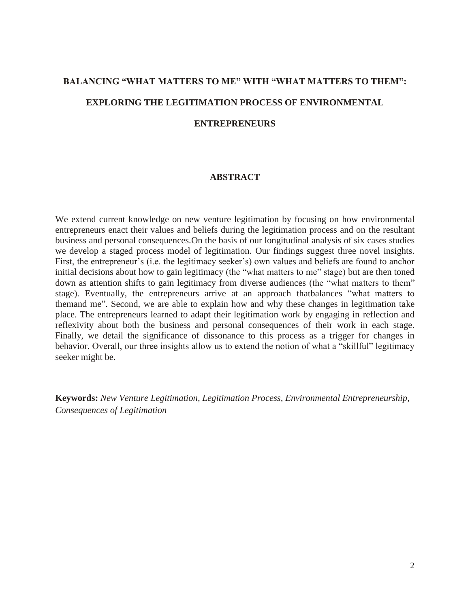# **BALANCING "WHAT MATTERS TO ME" WITH "WHAT MATTERS TO THEM": EXPLORING THE LEGITIMATION PROCESS OF ENVIRONMENTAL**

## **ENTREPRENEURS**

## **ABSTRACT**

We extend current knowledge on new venture legitimation by focusing on how environmental entrepreneurs enact their values and beliefs during the legitimation process and on the resultant business and personal consequences.On the basis of our longitudinal analysis of six cases studies we develop a staged process model of legitimation. Our findings suggest three novel insights. First, the entrepreneur's (i.e. the legitimacy seeker's) own values and beliefs are found to anchor initial decisions about how to gain legitimacy (the "what matters to me" stage) but are then toned down as attention shifts to gain legitimacy from diverse audiences (the "what matters to them" stage). Eventually, the entrepreneurs arrive at an approach thatbalances "what matters to themand me". Second, we are able to explain how and why these changes in legitimation take place. The entrepreneurs learned to adapt their legitimation work by engaging in reflection and reflexivity about both the business and personal consequences of their work in each stage. Finally, we detail the significance of dissonance to this process as a trigger for changes in behavior. Overall, our three insights allow us to extend the notion of what a "skillful" legitimacy seeker might be.

**Keywords:** *New Venture Legitimation, Legitimation Process, Environmental Entrepreneurship, Consequences of Legitimation*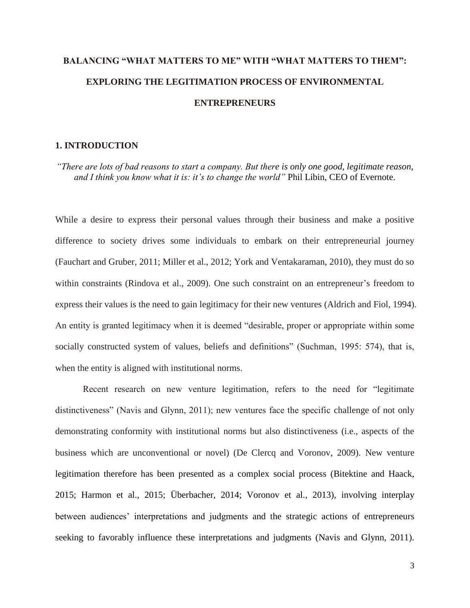# **BALANCING "WHAT MATTERS TO ME" WITH "WHAT MATTERS TO THEM": EXPLORING THE LEGITIMATION PROCESS OF ENVIRONMENTAL ENTREPRENEURS**

#### **1. INTRODUCTION**

*"There are lots of bad reasons to start a company. But there is only one good, legitimate reason, and I think you know what it is: it"s to change the world"* Phil Libin, CEO of Evernote.

While a desire to express their personal values through their business and make a positive difference to society drives some individuals to embark on their entrepreneurial journey (Fauchart and Gruber, 2011; Miller et al., 2012; York and Ventakaraman, 2010), they must do so within constraints (Rindova et al., 2009). One such constraint on an entrepreneur's freedom to express their values is the need to gain legitimacy for their new ventures (Aldrich and Fiol, 1994). An entity is granted legitimacy when it is deemed "desirable, proper or appropriate within some socially constructed system of values, beliefs and definitions" (Suchman, 1995: 574), that is, when the entity is aligned with institutional norms.

Recent research on new venture legitimation, refers to the need for "legitimate distinctiveness" (Navis and Glynn, 2011); new ventures face the specific challenge of not only demonstrating conformity with institutional norms but also distinctiveness (i.e., aspects of the business which are unconventional or novel) (De Clercq and Voronov, 2009). New venture legitimation therefore has been presented as a complex social process (Bitektine and Haack, 2015; Harmon et al., 2015; Überbacher, 2014; Voronov et al., 2013), involving interplay between audiences' interpretations and judgments and the strategic actions of entrepreneurs seeking to favorably influence these interpretations and judgments (Navis and Glynn, 2011).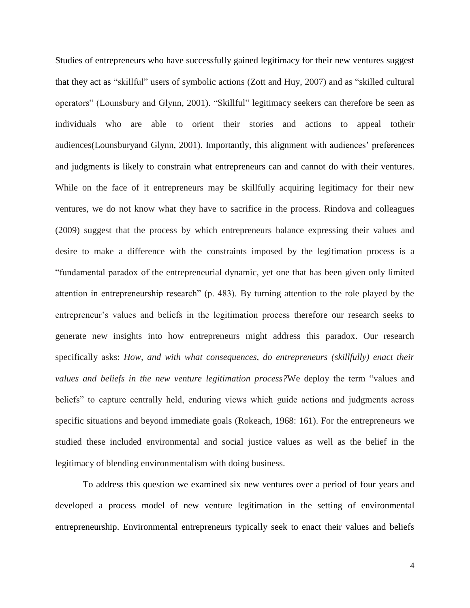Studies of entrepreneurs who have successfully gained legitimacy for their new ventures suggest that they act as "skillful" users of symbolic actions (Zott and Huy, 2007) and as "skilled cultural operators" (Lounsbury and Glynn, 2001). "Skillful" legitimacy seekers can therefore be seen as individuals who are able to orient their stories and actions to appeal totheir audiences(Lounsburyand Glynn, 2001). Importantly, this alignment with audiences' preferences and judgments is likely to constrain what entrepreneurs can and cannot do with their ventures. While on the face of it entrepreneurs may be skillfully acquiring legitimacy for their new ventures, we do not know what they have to sacrifice in the process. Rindova and colleagues (2009) suggest that the process by which entrepreneurs balance expressing their values and desire to make a difference with the constraints imposed by the legitimation process is a "fundamental paradox of the entrepreneurial dynamic, yet one that has been given only limited attention in entrepreneurship research" (p. 483). By turning attention to the role played by the entrepreneur's values and beliefs in the legitimation process therefore our research seeks to generate new insights into how entrepreneurs might address this paradox. Our research specifically asks: *How, and with what consequences, do entrepreneurs (skillfully) enact their values and beliefs in the new venture legitimation process?*We deploy the term "values and beliefs" to capture centrally held, enduring views which guide actions and judgments across specific situations and beyond immediate goals (Rokeach, 1968: 161). For the entrepreneurs we studied these included environmental and social justice values as well as the belief in the legitimacy of blending environmentalism with doing business.

To address this question we examined six new ventures over a period of four years and developed a process model of new venture legitimation in the setting of environmental entrepreneurship. Environmental entrepreneurs typically seek to enact their values and beliefs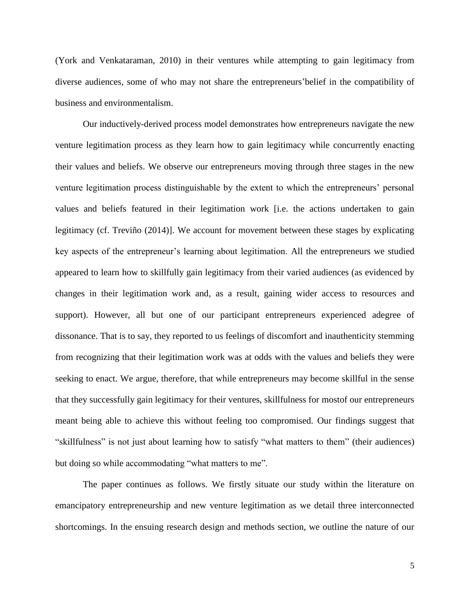(York and Venkataraman, 2010) in their ventures while attempting to gain legitimacy from diverse audiences, some of who may not share the entrepreneurs"belief in the compatibility of business and environmentalism.

Our inductively-derived process model demonstrates how entrepreneurs navigate the new venture legitimation process as they learn how to gain legitimacy while concurrently enacting their values and beliefs. We observe our entrepreneurs moving through three stages in the new venture legitimation process distinguishable by the extent to which the entrepreneurs' personal values and beliefs featured in their legitimation work [i.e. the actions undertaken to gain legitimacy (cf. Treviño (2014)]. We account for movement between these stages by explicating key aspects of the entrepreneur"s learning about legitimation. All the entrepreneurs we studied appeared to learn how to skillfully gain legitimacy from their varied audiences (as evidenced by changes in their legitimation work and, as a result, gaining wider access to resources and support). However, all but one of our participant entrepreneurs experienced adegree of dissonance. That is to say, they reported to us feelings of discomfort and inauthenticity stemming from recognizing that their legitimation work was at odds with the values and beliefs they were seeking to enact. We argue, therefore, that while entrepreneurs may become skillful in the sense that they successfully gain legitimacy for their ventures, skillfulness for mostof our entrepreneurs meant being able to achieve this without feeling too compromised. Our findings suggest that "skillfulness" is not just about learning how to satisfy "what matters to them" (their audiences) but doing so while accommodating "what matters to me".

The paper continues as follows. We firstly situate our study within the literature on emancipatory entrepreneurship and new venture legitimation as we detail three interconnected shortcomings. In the ensuing research design and methods section, we outline the nature of our

5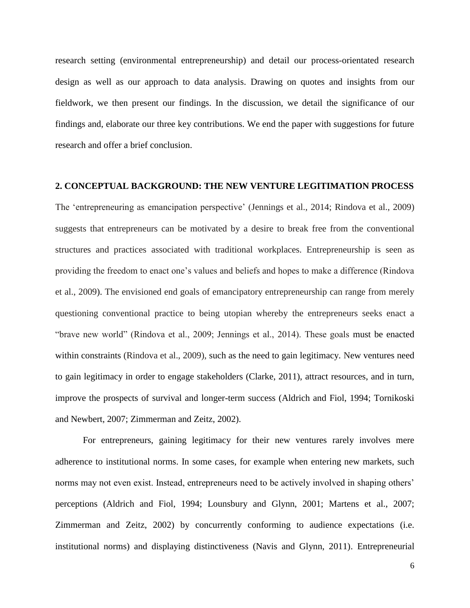research setting (environmental entrepreneurship) and detail our process-orientated research design as well as our approach to data analysis. Drawing on quotes and insights from our fieldwork, we then present our findings. In the discussion, we detail the significance of our findings and, elaborate our three key contributions. We end the paper with suggestions for future research and offer a brief conclusion.

#### **2. CONCEPTUAL BACKGROUND: THE NEW VENTURE LEGITIMATION PROCESS**

The 'entrepreneuring as emancipation perspective' (Jennings et al., 2014; Rindova et al., 2009) suggests that entrepreneurs can be motivated by a desire to break free from the conventional structures and practices associated with traditional workplaces. Entrepreneurship is seen as providing the freedom to enact one"s values and beliefs and hopes to make a difference (Rindova et al., 2009). The envisioned end goals of emancipatory entrepreneurship can range from merely questioning conventional practice to being utopian whereby the entrepreneurs seeks enact a "brave new world" (Rindova et al., 2009; Jennings et al., 2014). These goals must be enacted within constraints (Rindova et al., 2009), such as the need to gain legitimacy. New ventures need to gain legitimacy in order to engage stakeholders (Clarke, 2011), attract resources, and in turn, improve the prospects of survival and longer-term success (Aldrich and Fiol, 1994; Tornikoski and Newbert, 2007; Zimmerman and Zeitz, 2002).

For entrepreneurs, gaining legitimacy for their new ventures rarely involves mere adherence to institutional norms. In some cases, for example when entering new markets, such norms may not even exist. Instead, entrepreneurs need to be actively involved in shaping others' perceptions (Aldrich and Fiol, 1994; Lounsbury and Glynn, 2001; Martens et al., 2007; Zimmerman and Zeitz, 2002) by concurrently conforming to audience expectations (i.e. institutional norms) and displaying distinctiveness (Navis and Glynn, 2011). Entrepreneurial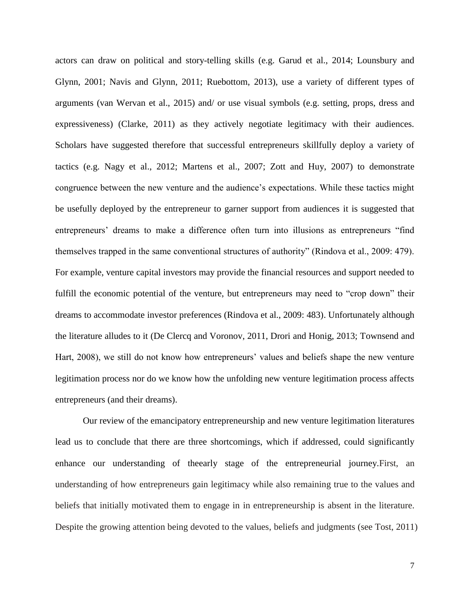actors can draw on political and story-telling skills (e.g. Garud et al., 2014; Lounsbury and Glynn, 2001; Navis and Glynn, 2011; Ruebottom, 2013), use a variety of different types of arguments (van Wervan et al., 2015) and/ or use visual symbols (e.g. setting, props, dress and expressiveness) (Clarke, 2011) as they actively negotiate legitimacy with their audiences. Scholars have suggested therefore that successful entrepreneurs skillfully deploy a variety of tactics (e.g. Nagy et al., 2012; Martens et al., 2007; Zott and Huy, 2007) to demonstrate congruence between the new venture and the audience"s expectations. While these tactics might be usefully deployed by the entrepreneur to garner support from audiences it is suggested that entrepreneurs" dreams to make a difference often turn into illusions as entrepreneurs "find themselves trapped in the same conventional structures of authority" (Rindova et al., 2009: 479). For example, venture capital investors may provide the financial resources and support needed to fulfill the economic potential of the venture, but entrepreneurs may need to "crop down" their dreams to accommodate investor preferences (Rindova et al., 2009: 483). Unfortunately although the literature alludes to it (De Clercq and Voronov, 2011, Drori and Honig, 2013; Townsend and Hart, 2008), we still do not know how entrepreneurs' values and beliefs shape the new venture legitimation process nor do we know how the unfolding new venture legitimation process affects entrepreneurs (and their dreams).

Our review of the emancipatory entrepreneurship and new venture legitimation literatures lead us to conclude that there are three shortcomings, which if addressed, could significantly enhance our understanding of theearly stage of the entrepreneurial journey.First, an understanding of how entrepreneurs gain legitimacy while also remaining true to the values and beliefs that initially motivated them to engage in in entrepreneurship is absent in the literature. Despite the growing attention being devoted to the values, beliefs and judgments (see Tost, 2011)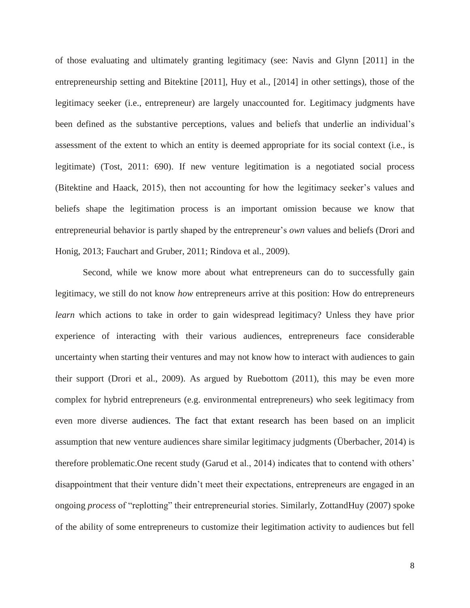of those evaluating and ultimately granting legitimacy (see: Navis and Glynn [2011] in the entrepreneurship setting and Bitektine [2011], Huy et al., [2014] in other settings), those of the legitimacy seeker (i.e., entrepreneur) are largely unaccounted for. Legitimacy judgments have been defined as the substantive perceptions, values and beliefs that underlie an individual"s assessment of the extent to which an entity is deemed appropriate for its social context (i.e., is legitimate) (Tost, 2011: 690). If new venture legitimation is a negotiated social process (Bitektine and Haack, 2015), then not accounting for how the legitimacy seeker"s values and beliefs shape the legitimation process is an important omission because we know that entrepreneurial behavior is partly shaped by the entrepreneur"s *own* values and beliefs (Drori and Honig, 2013; Fauchart and Gruber, 2011; Rindova et al., 2009).

Second, while we know more about what entrepreneurs can do to successfully gain legitimacy, we still do not know *how* entrepreneurs arrive at this position: How do entrepreneurs *learn* which actions to take in order to gain widespread legitimacy? Unless they have prior experience of interacting with their various audiences, entrepreneurs face considerable uncertainty when starting their ventures and may not know how to interact with audiences to gain their support (Drori et al., 2009). As argued by Ruebottom (2011), this may be even more complex for hybrid entrepreneurs (e.g. environmental entrepreneurs) who seek legitimacy from even more diverse audiences. The fact that extant research has been based on an implicit assumption that new venture audiences share similar legitimacy judgments (Überbacher, 2014) is therefore problematic.One recent study (Garud et al., 2014) indicates that to contend with others" disappointment that their venture didn"t meet their expectations, entrepreneurs are engaged in an ongoing *process* of "replotting" their entrepreneurial stories. Similarly, ZottandHuy (2007) spoke of the ability of some entrepreneurs to customize their legitimation activity to audiences but fell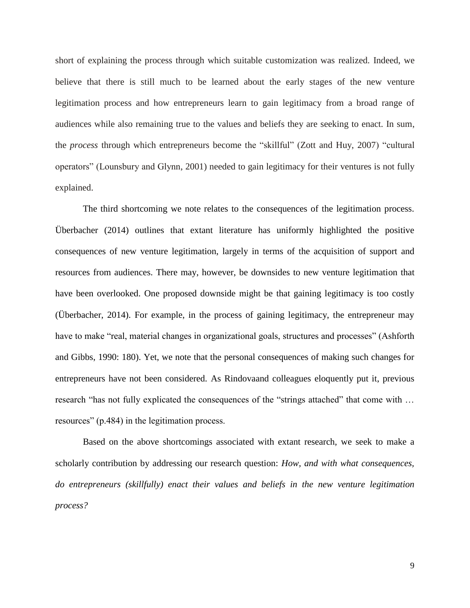short of explaining the process through which suitable customization was realized. Indeed, we believe that there is still much to be learned about the early stages of the new venture legitimation process and how entrepreneurs learn to gain legitimacy from a broad range of audiences while also remaining true to the values and beliefs they are seeking to enact. In sum, the *process* through which entrepreneurs become the "skillful" (Zott and Huy, 2007) "cultural operators" (Lounsbury and Glynn, 2001) needed to gain legitimacy for their ventures is not fully explained.

The third shortcoming we note relates to the consequences of the legitimation process. Überbacher (2014) outlines that extant literature has uniformly highlighted the positive consequences of new venture legitimation, largely in terms of the acquisition of support and resources from audiences. There may, however, be downsides to new venture legitimation that have been overlooked. One proposed downside might be that gaining legitimacy is too costly (Überbacher, 2014). For example, in the process of gaining legitimacy, the entrepreneur may have to make "real, material changes in organizational goals, structures and processes" (Ashforth and Gibbs, 1990: 180). Yet, we note that the personal consequences of making such changes for entrepreneurs have not been considered. As Rindovaand colleagues eloquently put it, previous research "has not fully explicated the consequences of the "strings attached" that come with … resources" (p.484) in the legitimation process.

Based on the above shortcomings associated with extant research, we seek to make a scholarly contribution by addressing our research question: *How, and with what consequences, do entrepreneurs (skillfully) enact their values and beliefs in the new venture legitimation process?*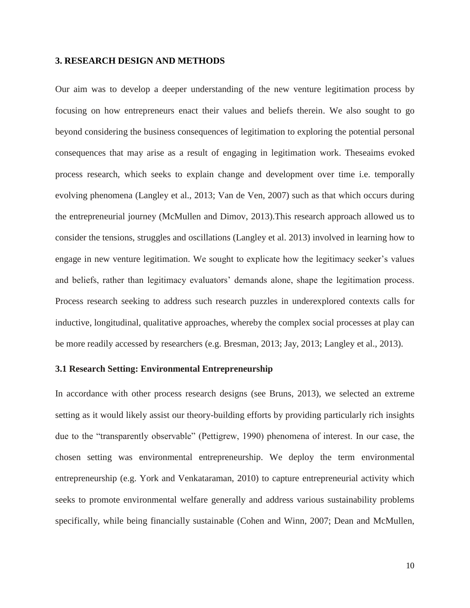#### **3. RESEARCH DESIGN AND METHODS**

Our aim was to develop a deeper understanding of the new venture legitimation process by focusing on how entrepreneurs enact their values and beliefs therein. We also sought to go beyond considering the business consequences of legitimation to exploring the potential personal consequences that may arise as a result of engaging in legitimation work. Theseaims evoked process research, which seeks to explain change and development over time i.e. temporally evolving phenomena (Langley et al., 2013; Van de Ven, 2007) such as that which occurs during the entrepreneurial journey (McMullen and Dimov, 2013).This research approach allowed us to consider the tensions, struggles and oscillations (Langley et al. 2013) involved in learning how to engage in new venture legitimation. We sought to explicate how the legitimacy seeker"s values and beliefs, rather than legitimacy evaluators' demands alone, shape the legitimation process. Process research seeking to address such research puzzles in underexplored contexts calls for inductive, longitudinal, qualitative approaches, whereby the complex social processes at play can be more readily accessed by researchers (e.g. Bresman, 2013; Jay, 2013; Langley et al., 2013).

## **3.1 Research Setting: Environmental Entrepreneurship**

In accordance with other process research designs (see Bruns, 2013), we selected an extreme setting as it would likely assist our theory-building efforts by providing particularly rich insights due to the "transparently observable" (Pettigrew, 1990) phenomena of interest. In our case, the chosen setting was environmental entrepreneurship. We deploy the term environmental entrepreneurship (e.g. York and Venkataraman, 2010) to capture entrepreneurial activity which seeks to promote environmental welfare generally and address various sustainability problems specifically, while being financially sustainable (Cohen and Winn, 2007; Dean and McMullen,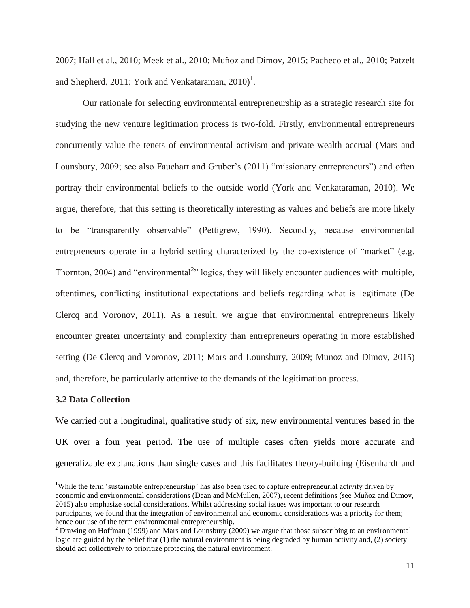2007; Hall et al., 2010; Meek et al., 2010; Muñoz and Dimov, 2015; Pacheco et al., 2010; Patzelt and Shepherd, 2011; York and Venkataraman,  $2010$ <sup>1</sup>.

Our rationale for selecting environmental entrepreneurship as a strategic research site for studying the new venture legitimation process is two-fold. Firstly, environmental entrepreneurs concurrently value the tenets of environmental activism and private wealth accrual (Mars and Lounsbury, 2009; see also Fauchart and Gruber's (2011) "missionary entrepreneurs") and often portray their environmental beliefs to the outside world (York and Venkataraman, 2010). We argue, therefore, that this setting is theoretically interesting as values and beliefs are more likely to be "transparently observable" (Pettigrew, 1990). Secondly, because environmental entrepreneurs operate in a hybrid setting characterized by the co-existence of "market" (e.g. Thornton, 2004) and "environmental<sup>2</sup>" logics, they will likely encounter audiences with multiple, oftentimes, conflicting institutional expectations and beliefs regarding what is legitimate (De Clercq and Voronov, 2011). As a result, we argue that environmental entrepreneurs likely encounter greater uncertainty and complexity than entrepreneurs operating in more established setting (De Clercq and Voronov, 2011; Mars and Lounsbury, 2009; Munoz and Dimov, 2015) and, therefore, be particularly attentive to the demands of the legitimation process.

#### **3.2 Data Collection**

 $\overline{a}$ 

We carried out a longitudinal, qualitative study of six, new environmental ventures based in the UK over a four year period. The use of multiple cases often yields more accurate and generalizable explanations than single cases and this facilitates theory-building (Eisenhardt and

<sup>&</sup>lt;sup>1</sup>While the term 'sustainable entrepreneurship' has also been used to capture entrepreneurial activity driven by economic and environmental considerations (Dean and McMullen, 2007), recent definitions (see Muñoz and Dimov, 2015) also emphasize social considerations. Whilst addressing social issues was important to our research participants, we found that the integration of environmental and economic considerations was a priority for them; hence our use of the term environmental entrepreneurship.

<sup>&</sup>lt;sup>2</sup> Drawing on Hoffman (1999) and Mars and Lounsbury (2009) we argue that those subscribing to an environmental logic are guided by the belief that (1) the natural environment is being degraded by human activity and, (2) society should act collectively to prioritize protecting the natural environment.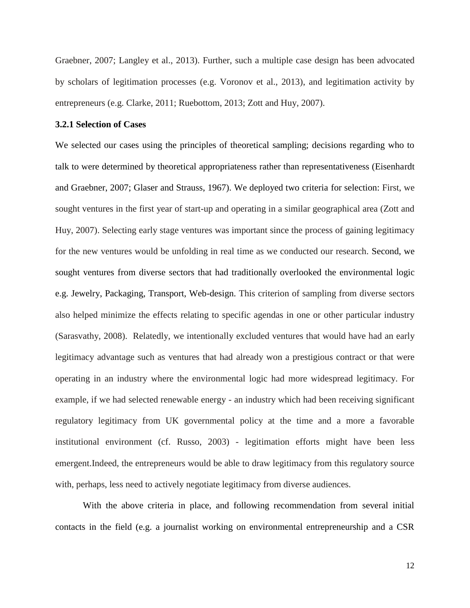Graebner, 2007; Langley et al., 2013). Further, such a multiple case design has been advocated by scholars of legitimation processes (e.g. Voronov et al., 2013), and legitimation activity by entrepreneurs (e.g. Clarke, 2011; Ruebottom, 2013; Zott and Huy, 2007).

#### **3.2.1 Selection of Cases**

We selected our cases using the principles of theoretical sampling; decisions regarding who to talk to were determined by theoretical appropriateness rather than representativeness (Eisenhardt and Graebner, 2007; Glaser and Strauss, 1967). We deployed two criteria for selection: First, we sought ventures in the first year of start-up and operating in a similar geographical area (Zott and Huy, 2007). Selecting early stage ventures was important since the process of gaining legitimacy for the new ventures would be unfolding in real time as we conducted our research. Second, we sought ventures from diverse sectors that had traditionally overlooked the environmental logic e.g. Jewelry, Packaging, Transport, Web-design. This criterion of sampling from diverse sectors also helped minimize the effects relating to specific agendas in one or other particular industry (Sarasvathy, 2008). Relatedly, we intentionally excluded ventures that would have had an early legitimacy advantage such as ventures that had already won a prestigious contract or that were operating in an industry where the environmental logic had more widespread legitimacy. For example, if we had selected renewable energy - an industry which had been receiving significant regulatory legitimacy from UK governmental policy at the time and a more a favorable institutional environment (cf. Russo, 2003) - legitimation efforts might have been less emergent.Indeed, the entrepreneurs would be able to draw legitimacy from this regulatory source with, perhaps, less need to actively negotiate legitimacy from diverse audiences.

With the above criteria in place, and following recommendation from several initial contacts in the field (e.g. a journalist working on environmental entrepreneurship and a CSR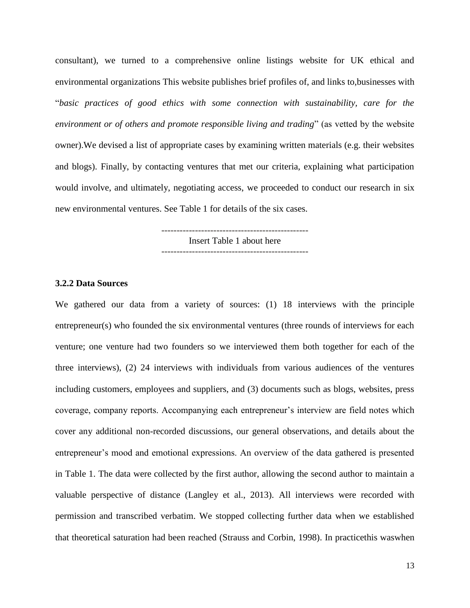consultant), we turned to a comprehensive online listings website for UK ethical and environmental organizations This website publishes brief profiles of, and links to,businesses with "*basic practices of good ethics with some connection with sustainability, care for the environment or of others and promote responsible living and trading*" (as vetted by the website owner).We devised a list of appropriate cases by examining written materials (e.g. their websites and blogs). Finally, by contacting ventures that met our criteria, explaining what participation would involve, and ultimately, negotiating access, we proceeded to conduct our research in six new environmental ventures. See Table 1 for details of the six cases.

> Insert Table 1 about here ------------------------------------------------

## **3.2.2 Data Sources**

We gathered our data from a variety of sources: (1) 18 interviews with the principle entrepreneur(s) who founded the six environmental ventures (three rounds of interviews for each venture; one venture had two founders so we interviewed them both together for each of the three interviews), (2) 24 interviews with individuals from various audiences of the ventures including customers, employees and suppliers, and (3) documents such as blogs, websites, press coverage, company reports. Accompanying each entrepreneur"s interview are field notes which cover any additional non-recorded discussions, our general observations, and details about the entrepreneur's mood and emotional expressions. An overview of the data gathered is presented in Table 1. The data were collected by the first author, allowing the second author to maintain a valuable perspective of distance (Langley et al., 2013). All interviews were recorded with permission and transcribed verbatim. We stopped collecting further data when we established that theoretical saturation had been reached (Strauss and Corbin, 1998). In practicethis waswhen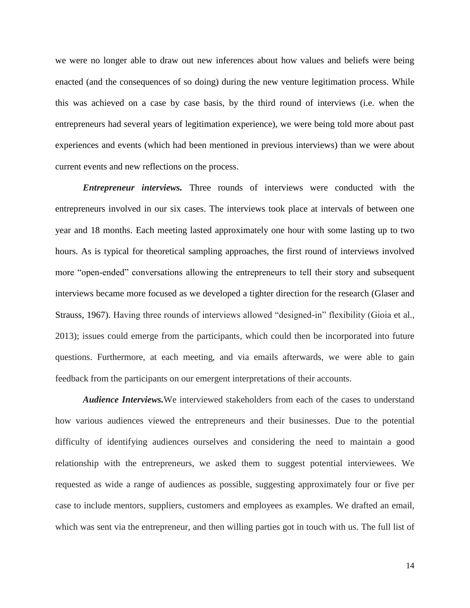we were no longer able to draw out new inferences about how values and beliefs were being enacted (and the consequences of so doing) during the new venture legitimation process. While this was achieved on a case by case basis, by the third round of interviews (i.e. when the entrepreneurs had several years of legitimation experience), we were being told more about past experiences and events (which had been mentioned in previous interviews) than we were about current events and new reflections on the process.

*Entrepreneur interviews.* Three rounds of interviews were conducted with the entrepreneurs involved in our six cases. The interviews took place at intervals of between one year and 18 months. Each meeting lasted approximately one hour with some lasting up to two hours. As is typical for theoretical sampling approaches, the first round of interviews involved more "open-ended" conversations allowing the entrepreneurs to tell their story and subsequent interviews became more focused as we developed a tighter direction for the research (Glaser and Strauss, 1967). Having three rounds of interviews allowed "designed-in" flexibility (Gioia et al., 2013); issues could emerge from the participants, which could then be incorporated into future questions. Furthermore, at each meeting, and via emails afterwards, we were able to gain feedback from the participants on our emergent interpretations of their accounts.

*Audience Interviews.*We interviewed stakeholders from each of the cases to understand how various audiences viewed the entrepreneurs and their businesses. Due to the potential difficulty of identifying audiences ourselves and considering the need to maintain a good relationship with the entrepreneurs, we asked them to suggest potential interviewees. We requested as wide a range of audiences as possible, suggesting approximately four or five per case to include mentors, suppliers, customers and employees as examples. We drafted an email, which was sent via the entrepreneur, and then willing parties got in touch with us. The full list of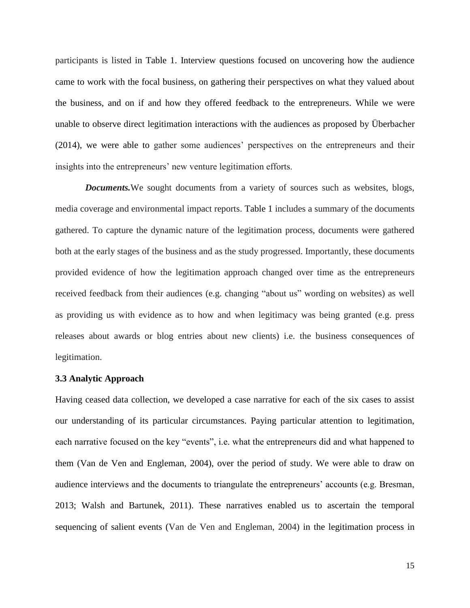participants is listed in Table 1. Interview questions focused on uncovering how the audience came to work with the focal business, on gathering their perspectives on what they valued about the business, and on if and how they offered feedback to the entrepreneurs. While we were unable to observe direct legitimation interactions with the audiences as proposed by Überbacher (2014), we were able to gather some audiences' perspectives on the entrepreneurs and their insights into the entrepreneurs' new venture legitimation efforts.

*Documents.*We sought documents from a variety of sources such as websites, blogs, media coverage and environmental impact reports. Table 1 includes a summary of the documents gathered. To capture the dynamic nature of the legitimation process, documents were gathered both at the early stages of the business and as the study progressed. Importantly, these documents provided evidence of how the legitimation approach changed over time as the entrepreneurs received feedback from their audiences (e.g. changing "about us" wording on websites) as well as providing us with evidence as to how and when legitimacy was being granted (e.g. press releases about awards or blog entries about new clients) i.e. the business consequences of legitimation.

#### **3.3 Analytic Approach**

Having ceased data collection, we developed a case narrative for each of the six cases to assist our understanding of its particular circumstances. Paying particular attention to legitimation, each narrative focused on the key "events", i.e. what the entrepreneurs did and what happened to them (Van de Ven and Engleman, 2004), over the period of study. We were able to draw on audience interviews and the documents to triangulate the entrepreneurs" accounts (e.g. Bresman, 2013; Walsh and Bartunek, 2011). These narratives enabled us to ascertain the temporal sequencing of salient events (Van de Ven and Engleman, 2004) in the legitimation process in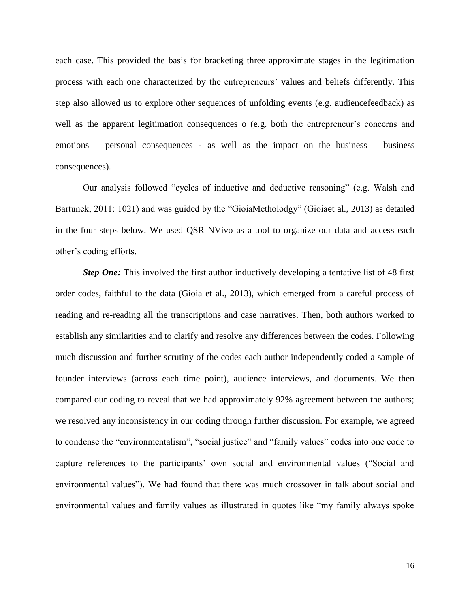each case. This provided the basis for bracketing three approximate stages in the legitimation process with each one characterized by the entrepreneurs' values and beliefs differently. This step also allowed us to explore other sequences of unfolding events (e.g. audiencefeedback) as well as the apparent legitimation consequences o (e.g. both the entrepreneur's concerns and emotions – personal consequences - as well as the impact on the business – business consequences).

Our analysis followed "cycles of inductive and deductive reasoning" (e.g. Walsh and Bartunek, 2011: 1021) and was guided by the "GioiaMetholodgy" (Gioiaet al., 2013) as detailed in the four steps below. We used QSR NVivo as a tool to organize our data and access each other"s coding efforts.

**Step One:** This involved the first author inductively developing a tentative list of 48 first order codes, faithful to the data (Gioia et al., 2013), which emerged from a careful process of reading and re-reading all the transcriptions and case narratives. Then, both authors worked to establish any similarities and to clarify and resolve any differences between the codes. Following much discussion and further scrutiny of the codes each author independently coded a sample of founder interviews (across each time point), audience interviews, and documents. We then compared our coding to reveal that we had approximately 92% agreement between the authors; we resolved any inconsistency in our coding through further discussion. For example, we agreed to condense the "environmentalism", "social justice" and "family values" codes into one code to capture references to the participants" own social and environmental values ("Social and environmental values"). We had found that there was much crossover in talk about social and environmental values and family values as illustrated in quotes like "my family always spoke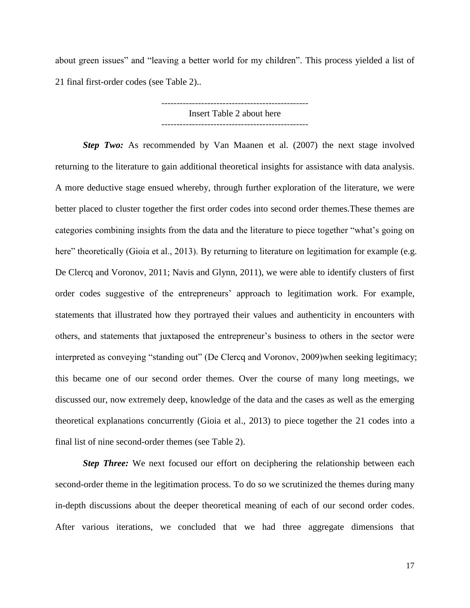about green issues" and "leaving a better world for my children". This process yielded a list of 21 final first-order codes (see Table 2)..

> Insert Table 2 about here ------------------------------------------------

*Step Two:* As recommended by Van Maanen et al. (2007) the next stage involved returning to the literature to gain additional theoretical insights for assistance with data analysis. A more deductive stage ensued whereby, through further exploration of the literature, we were better placed to cluster together the first order codes into second order themes.These themes are categories combining insights from the data and the literature to piece together "what"s going on here" theoretically (Gioia et al., 2013). By returning to literature on legitimation for example (e.g. De Clercq and Voronov, 2011; Navis and Glynn, 2011), we were able to identify clusters of first order codes suggestive of the entrepreneurs" approach to legitimation work. For example, statements that illustrated how they portrayed their values and authenticity in encounters with others, and statements that juxtaposed the entrepreneur"s business to others in the sector were interpreted as conveying "standing out" (De Clercq and Voronov, 2009)when seeking legitimacy; this became one of our second order themes. Over the course of many long meetings, we discussed our, now extremely deep, knowledge of the data and the cases as well as the emerging theoretical explanations concurrently (Gioia et al., 2013) to piece together the 21 codes into a final list of nine second-order themes (see Table 2).

*Step Three:* We next focused our effort on deciphering the relationship between each second-order theme in the legitimation process. To do so we scrutinized the themes during many in-depth discussions about the deeper theoretical meaning of each of our second order codes. After various iterations, we concluded that we had three aggregate dimensions that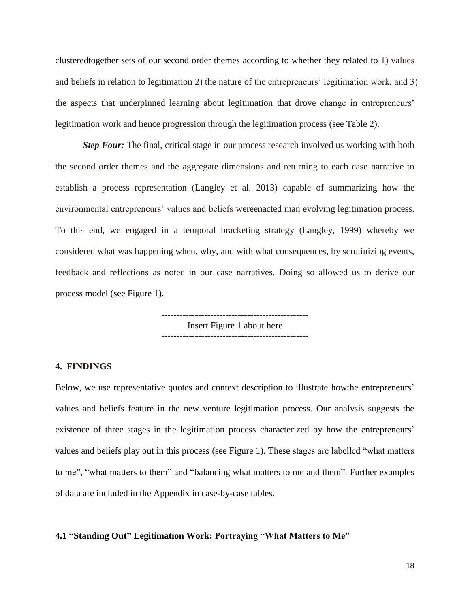clusteredtogether sets of our second order themes according to whether they related to 1) values and beliefs in relation to legitimation 2) the nature of the entrepreneurs' legitimation work, and 3) the aspects that underpinned learning about legitimation that drove change in entrepreneurs" legitimation work and hence progression through the legitimation process (see Table 2).

*Step Four:* The final, critical stage in our process research involved us working with both the second order themes and the aggregate dimensions and returning to each case narrative to establish a process representation (Langley et al. 2013) capable of summarizing how the environmental entrepreneurs" values and beliefs wereenacted inan evolving legitimation process. To this end, we engaged in a temporal bracketing strategy (Langley, 1999) whereby we considered what was happening when, why, and with what consequences, by scrutinizing events, feedback and reflections as noted in our case narratives. Doing so allowed us to derive our process model (see Figure 1).

> ------------------------------------------------ Insert Figure 1 about here ------------------------------------------------

### **4. FINDINGS**

Below, we use representative quotes and context description to illustrate howthe entrepreneurs' values and beliefs feature in the new venture legitimation process. Our analysis suggests the existence of three stages in the legitimation process characterized by how the entrepreneurs' values and beliefs play out in this process (see Figure 1). These stages are labelled "what matters to me", "what matters to them" and "balancing what matters to me and them". Further examples of data are included in the Appendix in case-by-case tables.

## **4.1 "Standing Out" Legitimation Work: Portraying "What Matters to Me"**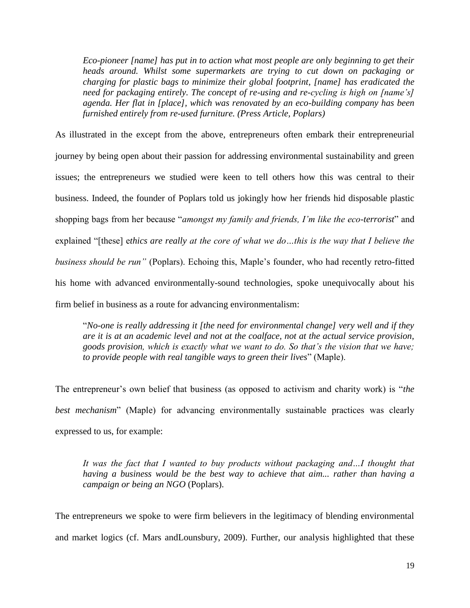*Eco-pioneer [name] has put in to action what most people are only beginning to get their heads around. Whilst some supermarkets are trying to cut down on packaging or charging for plastic bags to minimize their global footprint, [name] has eradicated the need for packaging entirely. The concept of re-using and re-cycling is high on [name"s] agenda. Her flat in [place], which was renovated by an eco-building company has been furnished entirely from re-used furniture. (Press Article, Poplars)*

As illustrated in the except from the above, entrepreneurs often embark their entrepreneurial journey by being open about their passion for addressing environmental sustainability and green issues; the entrepreneurs we studied were keen to tell others how this was central to their business. Indeed, the founder of Poplars told us jokingly how her friends hid disposable plastic shopping bags from her because "*amongst my family and friends, I"m like the eco-terrorist*" and explained "[these] e*thics are really at the core of what we do…this is the way that I believe the business should be run"* (Poplars). Echoing this, Maple"s founder, who had recently retro-fitted his home with advanced environmentally-sound technologies, spoke unequivocally about his firm belief in business as a route for advancing environmentalism:

"*No-one is really addressing it [the need for environmental change] very well and if they are it is at an academic level and not at the coalface, not at the actual service provision, goods provision, which is exactly what we want to do. So that"s the vision that we have; to provide people with real tangible ways to green their lives*" (Maple).

The entrepreneur"s own belief that business (as opposed to activism and charity work) is "*the best mechanism*" (Maple) for advancing environmentally sustainable practices was clearly expressed to us, for example:

*It was the fact that I wanted to buy products without packaging and…I thought that having a business would be the best way to achieve that aim... rather than having a campaign or being an NGO* (Poplars).

The entrepreneurs we spoke to were firm believers in the legitimacy of blending environmental and market logics (cf. Mars andLounsbury, 2009). Further, our analysis highlighted that these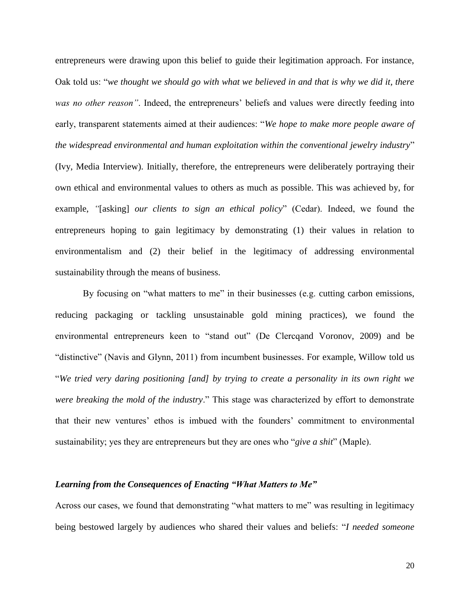entrepreneurs were drawing upon this belief to guide their legitimation approach. For instance, Oak told us: "*we thought we should go with what we believed in and that is why we did it, there was no other reason*". Indeed, the entrepreneurs' beliefs and values were directly feeding into early, transparent statements aimed at their audiences: "*We hope to make more people aware of the widespread environmental and human exploitation within the conventional jewelry industry*" (Ivy, Media Interview). Initially, therefore, the entrepreneurs were deliberately portraying their own ethical and environmental values to others as much as possible. This was achieved by, for example, *"*[asking] *our clients to sign an ethical policy*" (Cedar). Indeed, we found the entrepreneurs hoping to gain legitimacy by demonstrating (1) their values in relation to environmentalism and (2) their belief in the legitimacy of addressing environmental sustainability through the means of business.

By focusing on "what matters to me" in their businesses (e.g. cutting carbon emissions, reducing packaging or tackling unsustainable gold mining practices), we found the environmental entrepreneurs keen to "stand out" (De Clercqand Voronov, 2009) and be "distinctive" (Navis and Glynn, 2011) from incumbent businesses. For example, Willow told us "*We tried very daring positioning [and] by trying to create a personality in its own right we were breaking the mold of the industry*." This stage was characterized by effort to demonstrate that their new ventures" ethos is imbued with the founders" commitment to environmental sustainability; yes they are entrepreneurs but they are ones who "*give a shit*" (Maple).

## *Learning from the Consequences of Enacting "What Matters to Me"*

Across our cases, we found that demonstrating "what matters to me" was resulting in legitimacy being bestowed largely by audiences who shared their values and beliefs: "*I needed someone*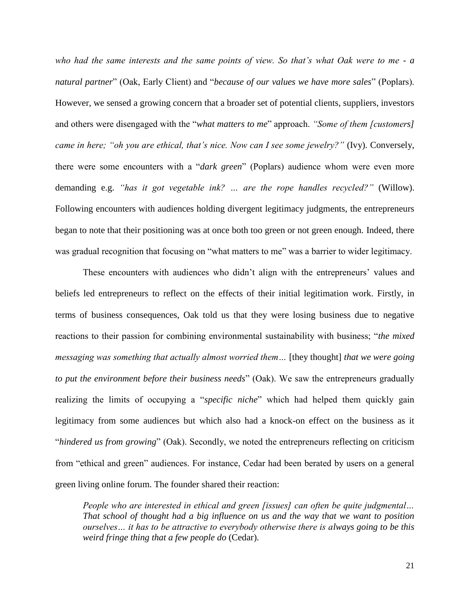*who had the same interests and the same points of view. So that"s what Oak were to me - a natural partner*" (Oak, Early Client) and "*because of our values we have more sales*" (Poplars). However, we sensed a growing concern that a broader set of potential clients, suppliers, investors and others were disengaged with the "*what matters to me*" approach. *"Some of them [customers] came in here; "oh you are ethical, that"s nice. Now can I see some jewelry?"* (Ivy)*.* Conversely, there were some encounters with a "*dark green*" (Poplars) audience whom were even more demanding e.g. *"has it got vegetable ink? … are the rope handles recycled?"* (Willow). Following encounters with audiences holding divergent legitimacy judgments, the entrepreneurs began to note that their positioning was at once both too green or not green enough. Indeed, there was gradual recognition that focusing on "what matters to me" was a barrier to wider legitimacy.

These encounters with audiences who didn't align with the entrepreneurs' values and beliefs led entrepreneurs to reflect on the effects of their initial legitimation work. Firstly, in terms of business consequences, Oak told us that they were losing business due to negative reactions to their passion for combining environmental sustainability with business; "*the mixed messaging was something that actually almost worried them...* [they thought] *that we were going to put the environment before their business needs*" (Oak). We saw the entrepreneurs gradually realizing the limits of occupying a "*specific niche*" which had helped them quickly gain legitimacy from some audiences but which also had a knock-on effect on the business as it "*hindered us from growing*" (Oak). Secondly, we noted the entrepreneurs reflecting on criticism from "ethical and green" audiences. For instance, Cedar had been berated by users on a general green living online forum. The founder shared their reaction:

*People who are interested in ethical and green [issues] can often be quite judgmental… That school of thought had a big influence on us and the way that we want to position ourselves… it has to be attractive to everybody otherwise there is always going to be this weird fringe thing that a few people do* (Cedar).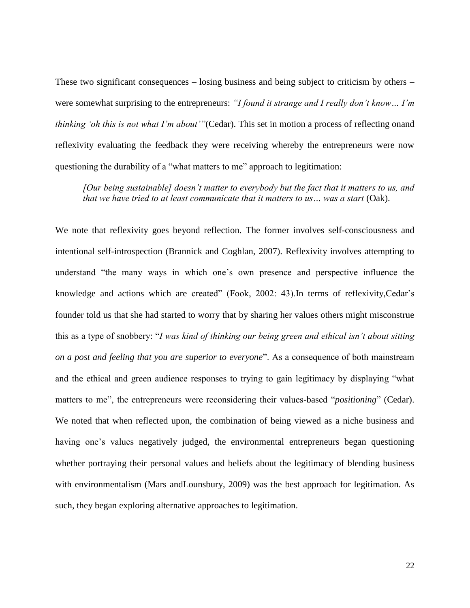These two significant consequences – losing business and being subject to criticism by others – were somewhat surprising to the entrepreneurs: *"I found it strange and I really don"t know… I"m thinking "oh this is not what I"m about""*(Cedar). This set in motion a process of reflecting onand reflexivity evaluating the feedback they were receiving whereby the entrepreneurs were now questioning the durability of a "what matters to me" approach to legitimation:

*[Our being sustainable] doesn"t matter to everybody but the fact that it matters to us, and that we have tried to at least communicate that it matters to us... was a start (Oak).* 

We note that reflexivity goes beyond reflection. The former involves self-consciousness and intentional self-introspection (Brannick and Coghlan, 2007). Reflexivity involves attempting to understand "the many ways in which one"s own presence and perspective influence the knowledge and actions which are created" (Fook, 2002: 43). In terms of reflexivity, Cedar's founder told us that she had started to worry that by sharing her values others might misconstrue this as a type of snobbery: "*I was kind of thinking our being green and ethical isn"t about sitting on a post and feeling that you are superior to everyone*". As a consequence of both mainstream and the ethical and green audience responses to trying to gain legitimacy by displaying "what matters to me", the entrepreneurs were reconsidering their values-based "*positioning*" (Cedar). We noted that when reflected upon, the combination of being viewed as a niche business and having one's values negatively judged, the environmental entrepreneurs began questioning whether portraying their personal values and beliefs about the legitimacy of blending business with environmentalism (Mars andLounsbury, 2009) was the best approach for legitimation. As such, they began exploring alternative approaches to legitimation.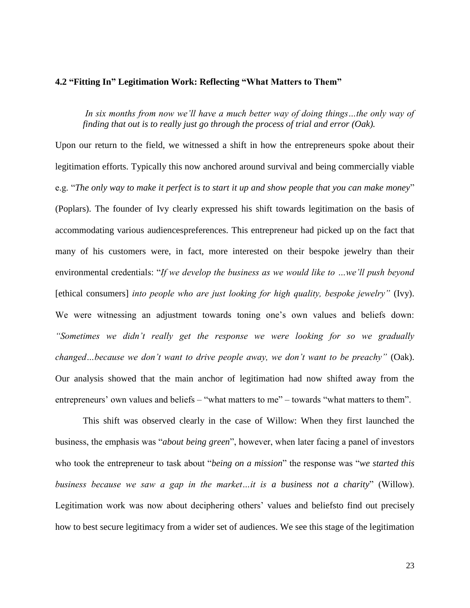#### **4.2 "Fitting In" Legitimation Work: Reflecting "What Matters to Them"**

In six months from now we'll have a much better way of doing things...the only way of *finding that out is to really just go through the process of trial and error (Oak).* 

Upon our return to the field, we witnessed a shift in how the entrepreneurs spoke about their legitimation efforts. Typically this now anchored around survival and being commercially viable e.g. "*The only way to make it perfect is to start it up and show people that you can make money*" (Poplars). The founder of Ivy clearly expressed his shift towards legitimation on the basis of accommodating various audiencespreferences. This entrepreneur had picked up on the fact that many of his customers were, in fact, more interested on their bespoke jewelry than their environmental credentials: "*If we develop the business as we would like to …we"ll push beyond*  [ethical consumers] *into people who are just looking for high quality, bespoke jewelry"* (Ivy). We were witnessing an adjustment towards toning one's own values and beliefs down: *"Sometimes we didn"t really get the response we were looking for so we gradually changed…because we don"t want to drive people away, we don"t want to be preachy"* (Oak). Our analysis showed that the main anchor of legitimation had now shifted away from the entrepreneurs' own values and beliefs – "what matters to me" – towards "what matters to them".

This shift was observed clearly in the case of Willow: When they first launched the business, the emphasis was "*about being green*", however, when later facing a panel of investors who took the entrepreneur to task about "*being on a mission*" the response was "*we started this business because we saw a gap in the market…it is a business not a charity*" (Willow). Legitimation work was now about deciphering others' values and beliefsto find out precisely how to best secure legitimacy from a wider set of audiences. We see this stage of the legitimation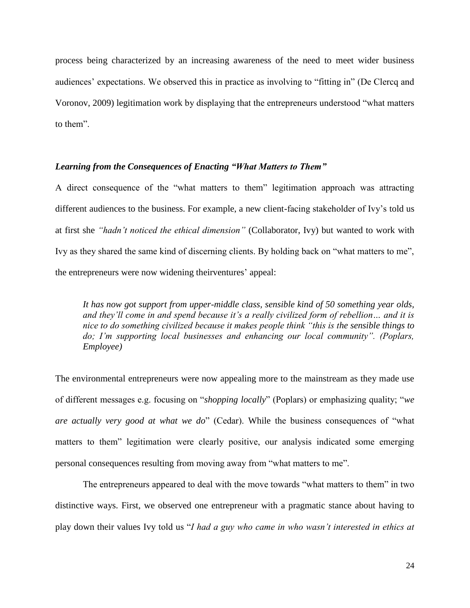process being characterized by an increasing awareness of the need to meet wider business audiences' expectations. We observed this in practice as involving to "fitting in" (De Clercq and Voronov, 2009) legitimation work by displaying that the entrepreneurs understood "what matters to them".

#### *Learning from the Consequences of Enacting "What Matters to Them"*

A direct consequence of the "what matters to them" legitimation approach was attracting different audiences to the business. For example, a new client-facing stakeholder of Ivy"s told us at first she *"hadn"t noticed the ethical dimension"* (Collaborator, Ivy) but wanted to work with Ivy as they shared the same kind of discerning clients. By holding back on "what matters to me", the entrepreneurs were now widening theirventures' appeal:

*It has now got support from upper-middle class, sensible kind of 50 something year olds, and they"ll come in and spend because it"s a really civilized form of rebellion… and it is nice to do something civilized because it makes people think "this is the sensible things to do; I"m supporting local businesses and enhancing our local community". (Poplars, Employee)*

The environmental entrepreneurs were now appealing more to the mainstream as they made use of different messages e.g. focusing on "*shopping locally*" (Poplars) or emphasizing quality; "*we are actually very good at what we do*" (Cedar). While the business consequences of "what matters to them" legitimation were clearly positive, our analysis indicated some emerging personal consequences resulting from moving away from "what matters to me".

The entrepreneurs appeared to deal with the move towards "what matters to them" in two distinctive ways. First, we observed one entrepreneur with a pragmatic stance about having to play down their values Ivy told us "*I had a guy who came in who wasn"t interested in ethics at*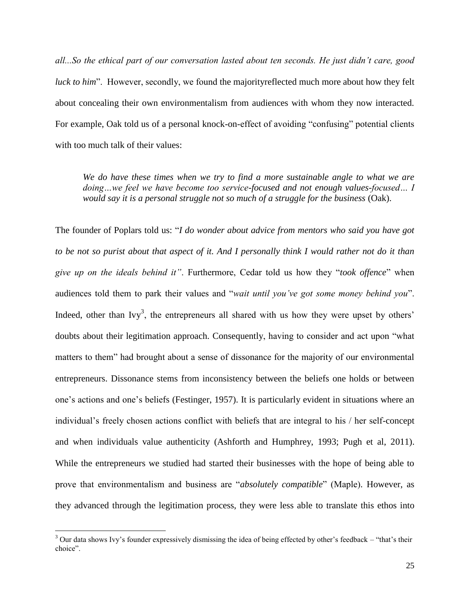*all...So the ethical part of our conversation lasted about ten seconds. He just didn"t care, good luck to him*". However, secondly, we found the majorityreflected much more about how they felt about concealing their own environmentalism from audiences with whom they now interacted. For example, Oak told us of a personal knock-on-effect of avoiding "confusing" potential clients with too much talk of their values:

*We do have these times when we try to find a more sustainable angle to what we are doing…we feel we have become too service-focused and not enough values-focused… I would say it is a personal struggle not so much of a struggle for the business* (Oak).

The founder of Poplars told us: "*I do wonder about advice from mentors who said you have got to be not so purist about that aspect of it. And I personally think I would rather not do it than give up on the ideals behind it"*. Furthermore, Cedar told us how they "*took offence*" when audiences told them to park their values and "*wait until you"ve got some money behind you*". Indeed, other than Ivy<sup>3</sup>, the entrepreneurs all shared with us how they were upset by others' doubts about their legitimation approach. Consequently, having to consider and act upon "what matters to them" had brought about a sense of dissonance for the majority of our environmental entrepreneurs. Dissonance stems from inconsistency between the beliefs one holds or between one"s actions and one"s beliefs (Festinger, 1957). It is particularly evident in situations where an individual"s freely chosen actions conflict with beliefs that are integral to his / her self-concept and when individuals value authenticity (Ashforth and Humphrey, 1993; Pugh et al, 2011). While the entrepreneurs we studied had started their businesses with the hope of being able to prove that environmentalism and business are "*absolutely compatible*" (Maple). However, as they advanced through the legitimation process, they were less able to translate this ethos into

 $\overline{\phantom{a}}$ 

 $3$  Our data shows Ivy's founder expressively dismissing the idea of being effected by other's feedback – "that's their choice".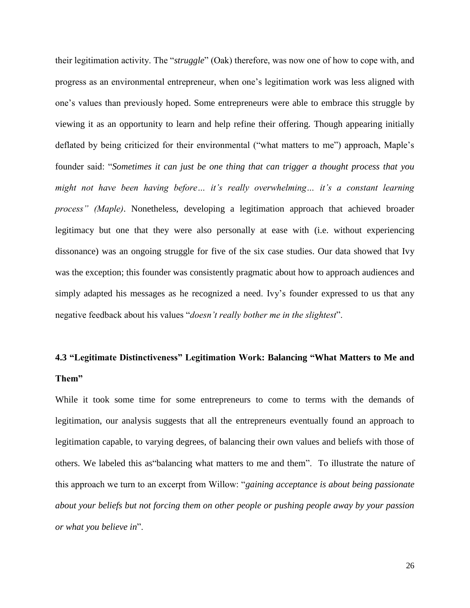their legitimation activity. The "*struggle*" (Oak) therefore, was now one of how to cope with, and progress as an environmental entrepreneur, when one"s legitimation work was less aligned with one"s values than previously hoped. Some entrepreneurs were able to embrace this struggle by viewing it as an opportunity to learn and help refine their offering. Though appearing initially deflated by being criticized for their environmental ("what matters to me") approach, Maple's founder said: "*Sometimes it can just be one thing that can trigger a thought process that you might not have been having before* ... *it's really overwhelming... it's a constant learning process" (Maple)*. Nonetheless, developing a legitimation approach that achieved broader legitimacy but one that they were also personally at ease with (i.e. without experiencing dissonance) was an ongoing struggle for five of the six case studies. Our data showed that Ivy was the exception; this founder was consistently pragmatic about how to approach audiences and simply adapted his messages as he recognized a need. Ivy"s founder expressed to us that any negative feedback about his values "*doesn"t really bother me in the slightest*".

# **4.3 "Legitimate Distinctiveness" Legitimation Work: Balancing "What Matters to Me and Them"**

While it took some time for some entrepreneurs to come to terms with the demands of legitimation, our analysis suggests that all the entrepreneurs eventually found an approach to legitimation capable, to varying degrees, of balancing their own values and beliefs with those of others. We labeled this as"balancing what matters to me and them". To illustrate the nature of this approach we turn to an excerpt from Willow: "*gaining acceptance is about being passionate about your beliefs but not forcing them on other people or pushing people away by your passion or what you believe in*".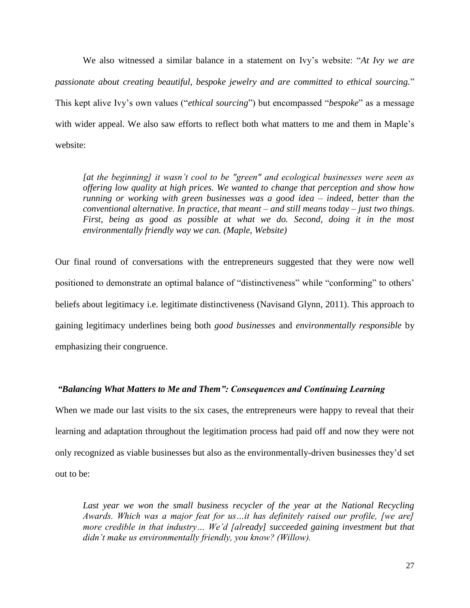We also witnessed a similar balance in a statement on Ivy"s website: "*At Ivy we are passionate about creating beautiful, bespoke jewelry and are committed to ethical sourcing.*" This kept alive Ivy"s own values ("*ethical sourcing*") but encompassed "*bespoke*" as a message with wider appeal. We also saw efforts to reflect both what matters to me and them in Maple's website:

[at the beginning] it wasn't cool to be "green" and ecological businesses were seen as *offering low quality at high prices. We wanted to change that perception and show how running or working with green businesses was a good idea – indeed, better than the conventional alternative. In practice, that meant – and still means today – just two things. First, being as good as possible at what we do. Second, doing it in the most environmentally friendly way we can. (Maple, Website)* 

Our final round of conversations with the entrepreneurs suggested that they were now well positioned to demonstrate an optimal balance of "distinctiveness" while "conforming" to others" beliefs about legitimacy i.e. legitimate distinctiveness (Navisand Glynn, 2011). This approach to gaining legitimacy underlines being both *good businesses* and *environmentally responsible* by emphasizing their congruence.

#### *"Balancing What Matters to Me and Them": Consequences and Continuing Learning*

When we made our last visits to the six cases, the entrepreneurs were happy to reveal that their learning and adaptation throughout the legitimation process had paid off and now they were not only recognized as viable businesses but also as the environmentally-driven businesses they"d set out to be:

Last year we won the small business recycler of the year at the National Recycling *Awards. Which was a major feat for us…it has definitely raised our profile, [we are] more credible in that industry... We'd [already] succeeded gaining investment but that didn"t make us environmentally friendly, you know? (Willow).*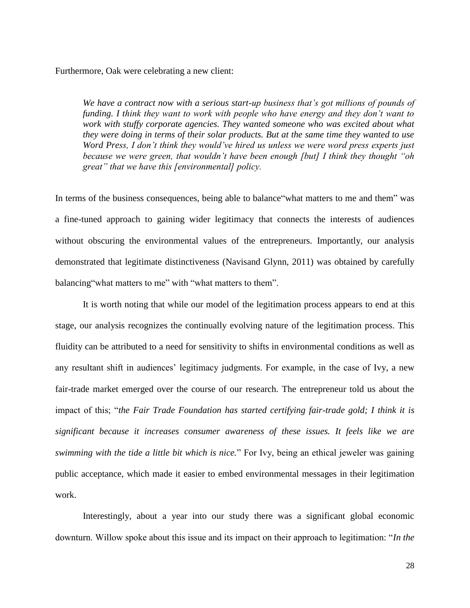Furthermore, Oak were celebrating a new client:

*We have a contract now with a serious start-up business that"s got millions of pounds of funding. I think they want to work with people who have energy and they don"t want to*  work with stuffy corporate agencies. They wanted someone who was excited about what *they were doing in terms of their solar products. But at the same time they wanted to use Word Press, I don"t think they would"ve hired us unless we were word press experts just because we were green, that wouldn"t have been enough [but] I think they thought "oh great" that we have this [environmental] policy.* 

In terms of the business consequences, being able to balance"what matters to me and them" was a fine-tuned approach to gaining wider legitimacy that connects the interests of audiences without obscuring the environmental values of the entrepreneurs. Importantly, our analysis demonstrated that legitimate distinctiveness (Navisand Glynn, 2011) was obtained by carefully balancing"what matters to me" with "what matters to them".

It is worth noting that while our model of the legitimation process appears to end at this stage, our analysis recognizes the continually evolving nature of the legitimation process. This fluidity can be attributed to a need for sensitivity to shifts in environmental conditions as well as any resultant shift in audiences' legitimacy judgments. For example, in the case of Ivy, a new fair-trade market emerged over the course of our research. The entrepreneur told us about the impact of this; "*the Fair Trade Foundation has started certifying fair-trade gold; I think it is significant because it increases consumer awareness of these issues. It feels like we are swimming with the tide a little bit which is nice.*" For Ivy, being an ethical jeweler was gaining public acceptance, which made it easier to embed environmental messages in their legitimation work.

Interestingly, about a year into our study there was a significant global economic downturn. Willow spoke about this issue and its impact on their approach to legitimation: "*In the*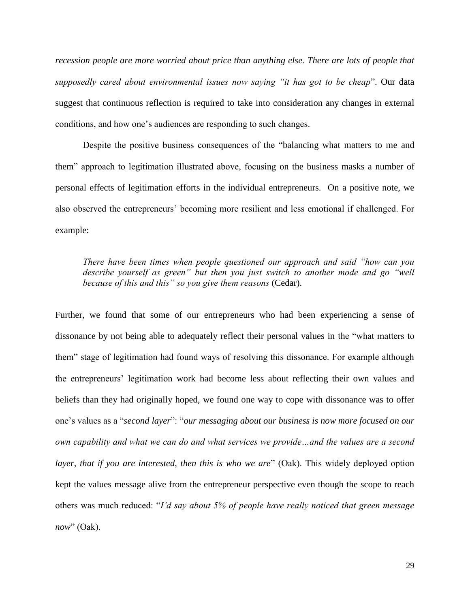*recession people are more worried about price than anything else. There are lots of people that supposedly cared about environmental issues now saying "it has got to be cheap*". Our data suggest that continuous reflection is required to take into consideration any changes in external conditions, and how one"s audiences are responding to such changes.

Despite the positive business consequences of the "balancing what matters to me and them" approach to legitimation illustrated above, focusing on the business masks a number of personal effects of legitimation efforts in the individual entrepreneurs. On a positive note, we also observed the entrepreneurs' becoming more resilient and less emotional if challenged. For example:

*There have been times when people questioned our approach and said "how can you describe yourself as green" but then you just switch to another mode and go "well because of this and this" so you give them reasons* (Cedar).

Further, we found that some of our entrepreneurs who had been experiencing a sense of dissonance by not being able to adequately reflect their personal values in the "what matters to them" stage of legitimation had found ways of resolving this dissonance. For example although the entrepreneurs" legitimation work had become less about reflecting their own values and beliefs than they had originally hoped, we found one way to cope with dissonance was to offer one"s values as a "*second layer*": "*our messaging about our business is now more focused on our own capability and what we can do and what services we provide…and the values are a second layer, that if you are interested, then this is who we are*" (Oak). This widely deployed option kept the values message alive from the entrepreneur perspective even though the scope to reach others was much reduced: "*I"d say about 5% of people have really noticed that green message now*" (Oak).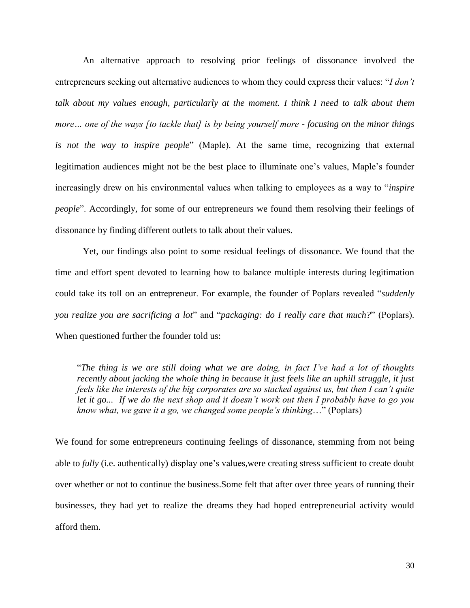An alternative approach to resolving prior feelings of dissonance involved the entrepreneurs seeking out alternative audiences to whom they could express their values: "*I don"t talk about my values enough, particularly at the moment. I think I need to talk about them more… one of the ways [to tackle that] is by being yourself more - focusing on the minor things is not the way to inspire people*" (Maple). At the same time, recognizing that external legitimation audiences might not be the best place to illuminate one"s values, Maple"s founder increasingly drew on his environmental values when talking to employees as a way to "*inspire people*". Accordingly, for some of our entrepreneurs we found them resolving their feelings of dissonance by finding different outlets to talk about their values.

Yet, our findings also point to some residual feelings of dissonance. We found that the time and effort spent devoted to learning how to balance multiple interests during legitimation could take its toll on an entrepreneur. For example, the founder of Poplars revealed "*suddenly you realize you are sacrificing a lot*" and "*packaging: do I really care that much?*" (Poplars). When questioned further the founder told us:

"*The thing is we are still doing what we are doing, in fact I"ve had a lot of thoughts recently about jacking the whole thing in because it just feels like an uphill struggle, it just feels like the interests of the big corporates are so stacked against us, but then I can"t quite let it go... If we do the next shop and it doesn"t work out then I probably have to go you know what, we gave it a go, we changed some people"s thinking*…" (Poplars)

We found for some entrepreneurs continuing feelings of dissonance, stemming from not being able to *fully* (i.e. authentically) display one's values, were creating stress sufficient to create doubt over whether or not to continue the business.Some felt that after over three years of running their businesses, they had yet to realize the dreams they had hoped entrepreneurial activity would afford them.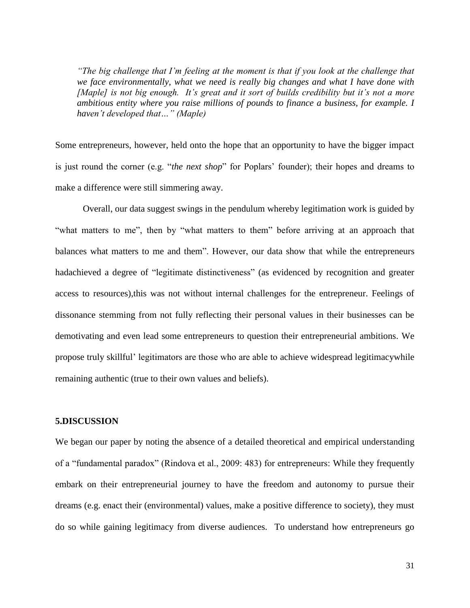*"The big challenge that I"m feeling at the moment is that if you look at the challenge that we face environmentally, what we need is really big changes and what I have done with [Maple] is not big enough. It's great and it sort of builds credibility but it's not a more ambitious entity where you raise millions of pounds to finance a business, for example. I haven"t developed that…" (Maple)*

Some entrepreneurs, however, held onto the hope that an opportunity to have the bigger impact is just round the corner (e.g. "*the next shop*" for Poplars' founder); their hopes and dreams to make a difference were still simmering away.

Overall, our data suggest swings in the pendulum whereby legitimation work is guided by "what matters to me", then by "what matters to them" before arriving at an approach that balances what matters to me and them". However, our data show that while the entrepreneurs hadachieved a degree of "legitimate distinctiveness" (as evidenced by recognition and greater access to resources),this was not without internal challenges for the entrepreneur. Feelings of dissonance stemming from not fully reflecting their personal values in their businesses can be demotivating and even lead some entrepreneurs to question their entrepreneurial ambitions. We propose truly skillful" legitimators are those who are able to achieve widespread legitimacywhile remaining authentic (true to their own values and beliefs).

#### **5.DISCUSSION**

We began our paper by noting the absence of a detailed theoretical and empirical understanding of a "fundamental paradox" (Rindova et al., 2009: 483) for entrepreneurs: While they frequently embark on their entrepreneurial journey to have the freedom and autonomy to pursue their dreams (e.g. enact their (environmental) values, make a positive difference to society), they must do so while gaining legitimacy from diverse audiences. To understand how entrepreneurs go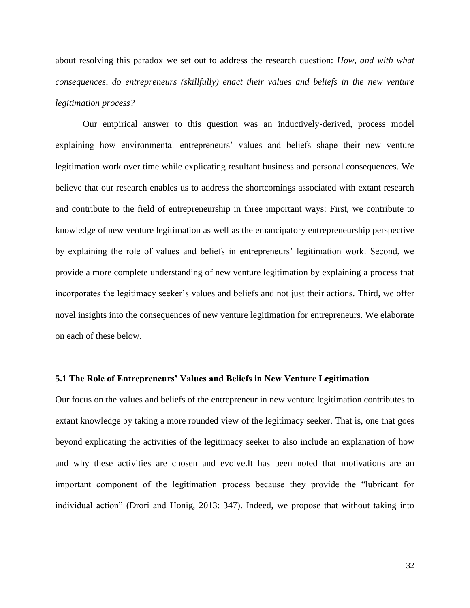about resolving this paradox we set out to address the research question: *How, and with what consequences, do entrepreneurs (skillfully) enact their values and beliefs in the new venture legitimation process?*

Our empirical answer to this question was an inductively-derived, process model explaining how environmental entrepreneurs' values and beliefs shape their new venture legitimation work over time while explicating resultant business and personal consequences. We believe that our research enables us to address the shortcomings associated with extant research and contribute to the field of entrepreneurship in three important ways: First, we contribute to knowledge of new venture legitimation as well as the emancipatory entrepreneurship perspective by explaining the role of values and beliefs in entrepreneurs" legitimation work. Second, we provide a more complete understanding of new venture legitimation by explaining a process that incorporates the legitimacy seeker"s values and beliefs and not just their actions. Third, we offer novel insights into the consequences of new venture legitimation for entrepreneurs. We elaborate on each of these below.

#### **5.1 The Role of Entrepreneurs' Values and Beliefs in New Venture Legitimation**

Our focus on the values and beliefs of the entrepreneur in new venture legitimation contributes to extant knowledge by taking a more rounded view of the legitimacy seeker. That is, one that goes beyond explicating the activities of the legitimacy seeker to also include an explanation of how and why these activities are chosen and evolve.It has been noted that motivations are an important component of the legitimation process because they provide the "lubricant for individual action" (Drori and Honig, 2013: 347). Indeed, we propose that without taking into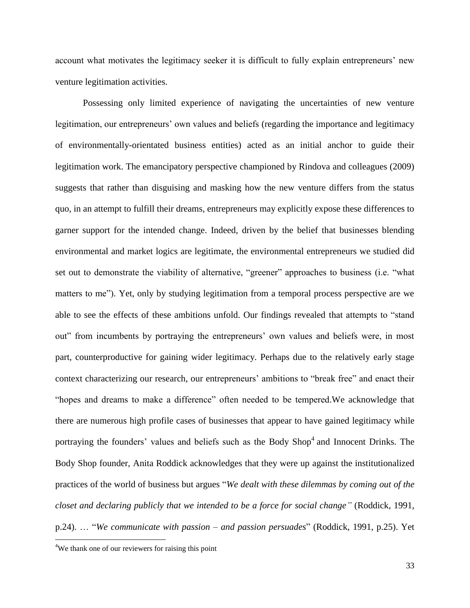account what motivates the legitimacy seeker it is difficult to fully explain entrepreneurs" new venture legitimation activities.

Possessing only limited experience of navigating the uncertainties of new venture legitimation, our entrepreneurs" own values and beliefs (regarding the importance and legitimacy of environmentally-orientated business entities) acted as an initial anchor to guide their legitimation work. The emancipatory perspective championed by Rindova and colleagues (2009) suggests that rather than disguising and masking how the new venture differs from the status quo, in an attempt to fulfill their dreams, entrepreneurs may explicitly expose these differences to garner support for the intended change. Indeed, driven by the belief that businesses blending environmental and market logics are legitimate, the environmental entrepreneurs we studied did set out to demonstrate the viability of alternative, "greener" approaches to business (i.e. "what matters to me"). Yet, only by studying legitimation from a temporal process perspective are we able to see the effects of these ambitions unfold. Our findings revealed that attempts to "stand out" from incumbents by portraying the entrepreneurs" own values and beliefs were, in most part, counterproductive for gaining wider legitimacy. Perhaps due to the relatively early stage context characterizing our research, our entrepreneurs' ambitions to "break free" and enact their "hopes and dreams to make a difference" often needed to be tempered.We acknowledge that there are numerous high profile cases of businesses that appear to have gained legitimacy while portraying the founders' values and beliefs such as the Body Shop<sup>4</sup> and Innocent Drinks. The Body Shop founder, Anita Roddick acknowledges that they were up against the institutionalized practices of the world of business but argues "*We dealt with these dilemmas by coming out of the closet and declaring publicly that we intended to be a force for social change"* (Roddick, 1991, p.24). … "*We communicate with passion – and passion persuades*" (Roddick, 1991, p.25). Yet

 $\overline{\phantom{a}}$ 

<sup>&</sup>lt;sup>4</sup>We thank one of our reviewers for raising this point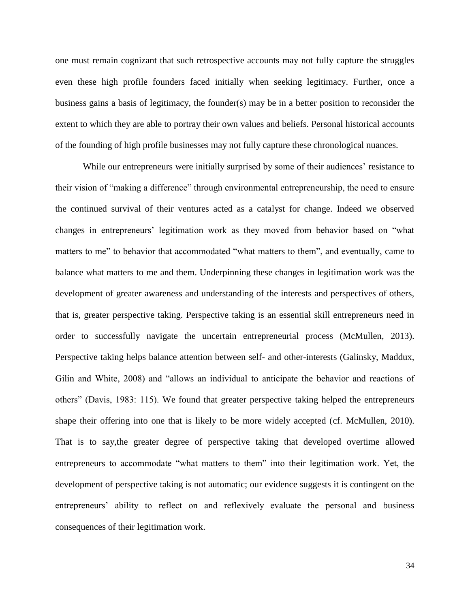one must remain cognizant that such retrospective accounts may not fully capture the struggles even these high profile founders faced initially when seeking legitimacy. Further, once a business gains a basis of legitimacy, the founder(s) may be in a better position to reconsider the extent to which they are able to portray their own values and beliefs. Personal historical accounts of the founding of high profile businesses may not fully capture these chronological nuances.

While our entrepreneurs were initially surprised by some of their audiences' resistance to their vision of "making a difference" through environmental entrepreneurship, the need to ensure the continued survival of their ventures acted as a catalyst for change. Indeed we observed changes in entrepreneurs" legitimation work as they moved from behavior based on "what matters to me" to behavior that accommodated "what matters to them", and eventually, came to balance what matters to me and them. Underpinning these changes in legitimation work was the development of greater awareness and understanding of the interests and perspectives of others, that is, greater perspective taking. Perspective taking is an essential skill entrepreneurs need in order to successfully navigate the uncertain entrepreneurial process (McMullen, 2013). Perspective taking helps balance attention between self- and other-interests (Galinsky, Maddux, Gilin and White, 2008) and "allows an individual to anticipate the behavior and reactions of others" (Davis, 1983: 115). We found that greater perspective taking helped the entrepreneurs shape their offering into one that is likely to be more widely accepted (cf. McMullen, 2010). That is to say,the greater degree of perspective taking that developed overtime allowed entrepreneurs to accommodate "what matters to them" into their legitimation work. Yet, the development of perspective taking is not automatic; our evidence suggests it is contingent on the entrepreneurs' ability to reflect on and reflexively evaluate the personal and business consequences of their legitimation work.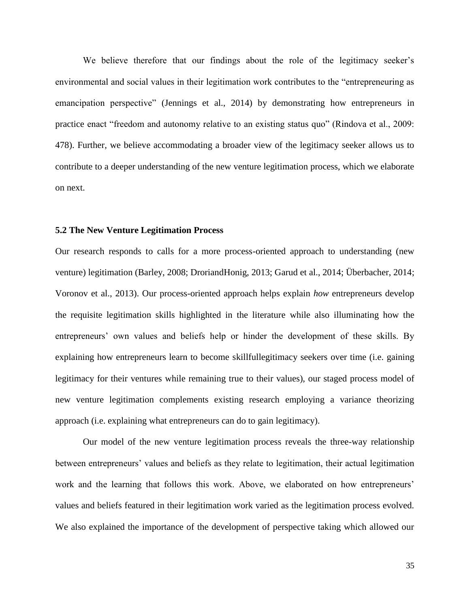We believe therefore that our findings about the role of the legitimacy seeker's environmental and social values in their legitimation work contributes to the "entrepreneuring as emancipation perspective" (Jennings et al., 2014) by demonstrating how entrepreneurs in practice enact "freedom and autonomy relative to an existing status quo" (Rindova et al., 2009: 478). Further, we believe accommodating a broader view of the legitimacy seeker allows us to contribute to a deeper understanding of the new venture legitimation process, which we elaborate on next.

#### **5.2 The New Venture Legitimation Process**

Our research responds to calls for a more process-oriented approach to understanding (new venture) legitimation (Barley, 2008; DroriandHonig, 2013; Garud et al., 2014; Überbacher, 2014; Voronov et al., 2013). Our process-oriented approach helps explain *how* entrepreneurs develop the requisite legitimation skills highlighted in the literature while also illuminating how the entrepreneurs" own values and beliefs help or hinder the development of these skills. By explaining how entrepreneurs learn to become skillfullegitimacy seekers over time (i.e. gaining legitimacy for their ventures while remaining true to their values), our staged process model of new venture legitimation complements existing research employing a variance theorizing approach (i.e. explaining what entrepreneurs can do to gain legitimacy).

Our model of the new venture legitimation process reveals the three-way relationship between entrepreneurs' values and beliefs as they relate to legitimation, their actual legitimation work and the learning that follows this work. Above, we elaborated on how entrepreneurs' values and beliefs featured in their legitimation work varied as the legitimation process evolved. We also explained the importance of the development of perspective taking which allowed our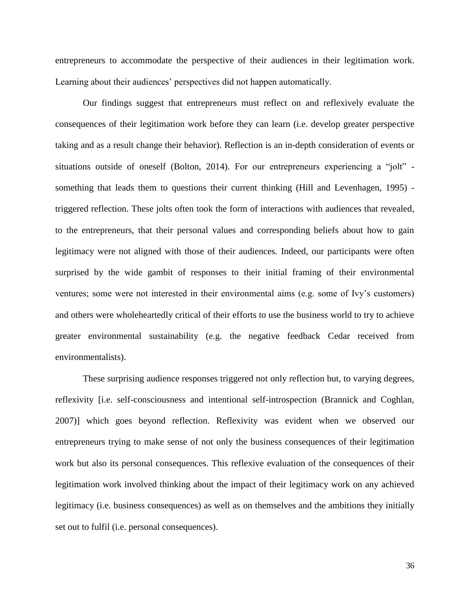entrepreneurs to accommodate the perspective of their audiences in their legitimation work. Learning about their audiences' perspectives did not happen automatically.

Our findings suggest that entrepreneurs must reflect on and reflexively evaluate the consequences of their legitimation work before they can learn (i.e. develop greater perspective taking and as a result change their behavior). Reflection is an in-depth consideration of events or situations outside of oneself (Bolton, 2014). For our entrepreneurs experiencing a "jolt" something that leads them to questions their current thinking (Hill and Levenhagen, 1995) triggered reflection. These jolts often took the form of interactions with audiences that revealed, to the entrepreneurs, that their personal values and corresponding beliefs about how to gain legitimacy were not aligned with those of their audiences. Indeed, our participants were often surprised by the wide gambit of responses to their initial framing of their environmental ventures; some were not interested in their environmental aims (e.g. some of Ivy"s customers) and others were wholeheartedly critical of their efforts to use the business world to try to achieve greater environmental sustainability (e.g. the negative feedback Cedar received from environmentalists).

These surprising audience responses triggered not only reflection but, to varying degrees, reflexivity [i.e. self-consciousness and intentional self-introspection (Brannick and Coghlan, 2007)] which goes beyond reflection. Reflexivity was evident when we observed our entrepreneurs trying to make sense of not only the business consequences of their legitimation work but also its personal consequences. This reflexive evaluation of the consequences of their legitimation work involved thinking about the impact of their legitimacy work on any achieved legitimacy (i.e. business consequences) as well as on themselves and the ambitions they initially set out to fulfil (i.e. personal consequences).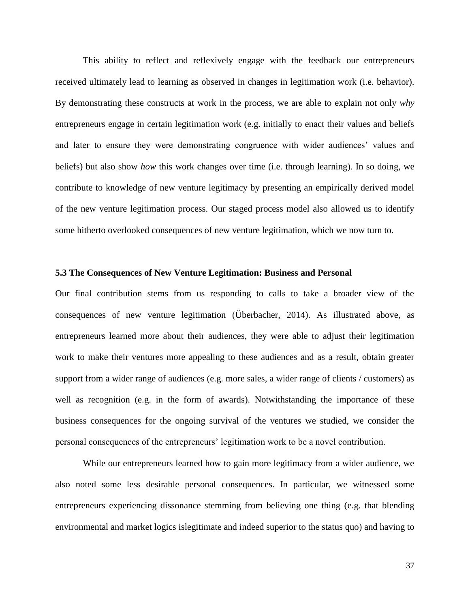This ability to reflect and reflexively engage with the feedback our entrepreneurs received ultimately lead to learning as observed in changes in legitimation work (i.e. behavior). By demonstrating these constructs at work in the process, we are able to explain not only *why* entrepreneurs engage in certain legitimation work (e.g. initially to enact their values and beliefs and later to ensure they were demonstrating congruence with wider audiences" values and beliefs) but also show *how* this work changes over time (i.e. through learning). In so doing, we contribute to knowledge of new venture legitimacy by presenting an empirically derived model of the new venture legitimation process. Our staged process model also allowed us to identify some hitherto overlooked consequences of new venture legitimation, which we now turn to.

#### **5.3 The Consequences of New Venture Legitimation: Business and Personal**

Our final contribution stems from us responding to calls to take a broader view of the consequences of new venture legitimation (Überbacher, 2014). As illustrated above, as entrepreneurs learned more about their audiences, they were able to adjust their legitimation work to make their ventures more appealing to these audiences and as a result, obtain greater support from a wider range of audiences (e.g. more sales, a wider range of clients / customers) as well as recognition (e.g. in the form of awards). Notwithstanding the importance of these business consequences for the ongoing survival of the ventures we studied, we consider the personal consequences of the entrepreneurs" legitimation work to be a novel contribution.

While our entrepreneurs learned how to gain more legitimacy from a wider audience, we also noted some less desirable personal consequences. In particular, we witnessed some entrepreneurs experiencing dissonance stemming from believing one thing (e.g. that blending environmental and market logics islegitimate and indeed superior to the status quo) and having to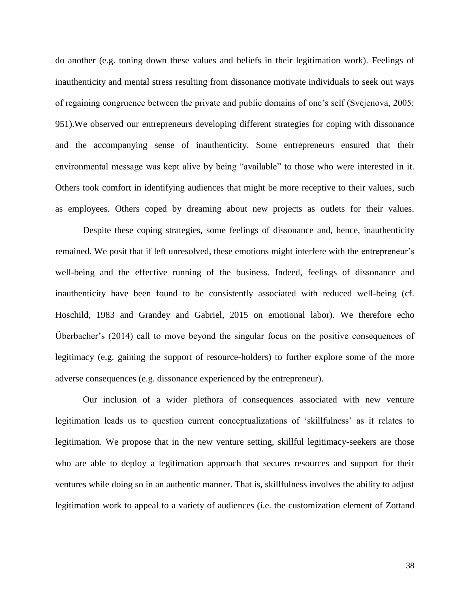do another (e.g. toning down these values and beliefs in their legitimation work). Feelings of inauthenticity and mental stress resulting from dissonance motivate individuals to seek out ways of regaining congruence between the private and public domains of one"s self (Svejenova, 2005: 951).We observed our entrepreneurs developing different strategies for coping with dissonance and the accompanying sense of inauthenticity. Some entrepreneurs ensured that their environmental message was kept alive by being "available" to those who were interested in it. Others took comfort in identifying audiences that might be more receptive to their values, such as employees. Others coped by dreaming about new projects as outlets for their values.

Despite these coping strategies, some feelings of dissonance and, hence, inauthenticity remained. We posit that if left unresolved, these emotions might interfere with the entrepreneur"s well-being and the effective running of the business. Indeed, feelings of dissonance and inauthenticity have been found to be consistently associated with reduced well-being (cf. Hoschild, 1983 and Grandey and Gabriel, 2015 on emotional labor). We therefore echo Überbacher"s (2014) call to move beyond the singular focus on the positive consequences of legitimacy (e.g. gaining the support of resource-holders) to further explore some of the more adverse consequences (e.g. dissonance experienced by the entrepreneur).

Our inclusion of a wider plethora of consequences associated with new venture legitimation leads us to question current conceptualizations of 'skillfulness' as it relates to legitimation. We propose that in the new venture setting, skillful legitimacy-seekers are those who are able to deploy a legitimation approach that secures resources and support for their ventures while doing so in an authentic manner. That is, skillfulness involves the ability to adjust legitimation work to appeal to a variety of audiences (i.e. the customization element of Zottand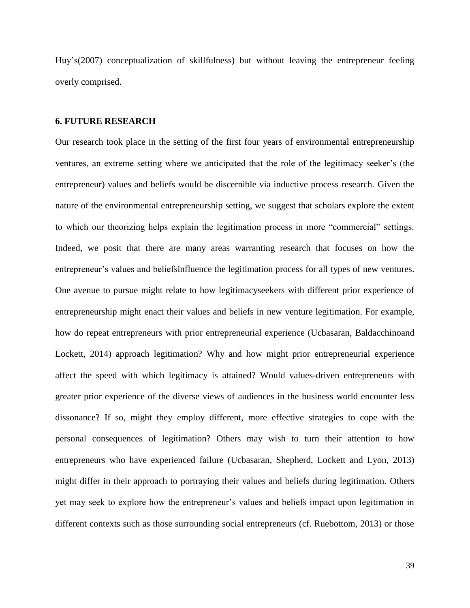Huy"s(2007) conceptualization of skillfulness) but without leaving the entrepreneur feeling overly comprised.

#### **6. FUTURE RESEARCH**

Our research took place in the setting of the first four years of environmental entrepreneurship ventures, an extreme setting where we anticipated that the role of the legitimacy seeker"s (the entrepreneur) values and beliefs would be discernible via inductive process research. Given the nature of the environmental entrepreneurship setting, we suggest that scholars explore the extent to which our theorizing helps explain the legitimation process in more "commercial" settings. Indeed, we posit that there are many areas warranting research that focuses on how the entrepreneur"s values and beliefsinfluence the legitimation process for all types of new ventures. One avenue to pursue might relate to how legitimacyseekers with different prior experience of entrepreneurship might enact their values and beliefs in new venture legitimation. For example, how do repeat entrepreneurs with prior entrepreneurial experience (Ucbasaran, Baldacchinoand Lockett, 2014) approach legitimation? Why and how might prior entrepreneurial experience affect the speed with which legitimacy is attained? Would values-driven entrepreneurs with greater prior experience of the diverse views of audiences in the business world encounter less dissonance? If so, might they employ different, more effective strategies to cope with the personal consequences of legitimation? Others may wish to turn their attention to how entrepreneurs who have experienced failure (Ucbasaran, Shepherd, Lockett and Lyon, 2013) might differ in their approach to portraying their values and beliefs during legitimation. Others yet may seek to explore how the entrepreneur"s values and beliefs impact upon legitimation in different contexts such as those surrounding social entrepreneurs (cf. Ruebottom, 2013) or those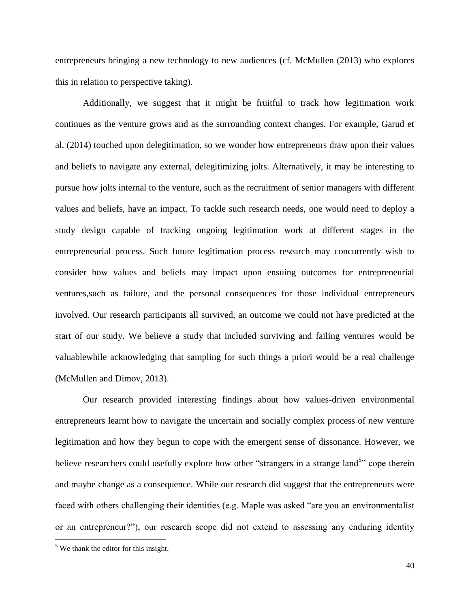entrepreneurs bringing a new technology to new audiences (cf. McMullen (2013) who explores this in relation to perspective taking).

Additionally, we suggest that it might be fruitful to track how legitimation work continues as the venture grows and as the surrounding context changes. For example, Garud et al. (2014) touched upon delegitimation, so we wonder how entrepreneurs draw upon their values and beliefs to navigate any external, delegitimizing jolts. Alternatively, it may be interesting to pursue how jolts internal to the venture, such as the recruitment of senior managers with different values and beliefs, have an impact. To tackle such research needs, one would need to deploy a study design capable of tracking ongoing legitimation work at different stages in the entrepreneurial process. Such future legitimation process research may concurrently wish to consider how values and beliefs may impact upon ensuing outcomes for entrepreneurial ventures,such as failure, and the personal consequences for those individual entrepreneurs involved. Our research participants all survived, an outcome we could not have predicted at the start of our study. We believe a study that included surviving and failing ventures would be valuablewhile acknowledging that sampling for such things a priori would be a real challenge (McMullen and Dimov, 2013).

Our research provided interesting findings about how values-driven environmental entrepreneurs learnt how to navigate the uncertain and socially complex process of new venture legitimation and how they begun to cope with the emergent sense of dissonance. However, we believe researchers could usefully explore how other "strangers in a strange land<sup>5</sup>" cope therein and maybe change as a consequence. While our research did suggest that the entrepreneurs were faced with others challenging their identities (e.g. Maple was asked "are you an environmentalist or an entrepreneur?"), our research scope did not extend to assessing any enduring identity

 $\overline{\phantom{a}}$ 

 $<sup>5</sup>$  We thank the editor for this insight.</sup>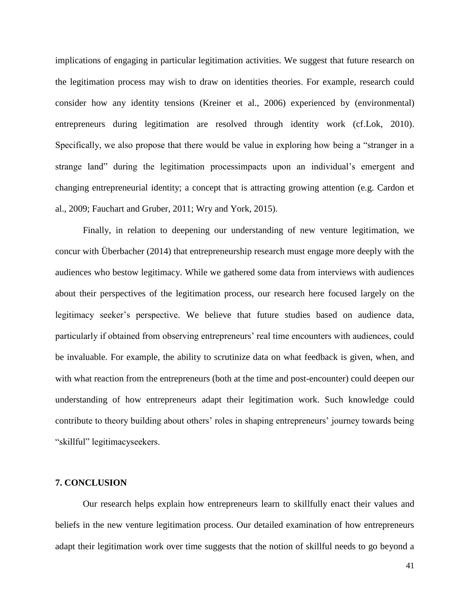implications of engaging in particular legitimation activities. We suggest that future research on the legitimation process may wish to draw on identities theories. For example, research could consider how any identity tensions (Kreiner et al., 2006) experienced by (environmental) entrepreneurs during legitimation are resolved through identity work (cf.Lok, 2010). Specifically, we also propose that there would be value in exploring how being a "stranger in a strange land" during the legitimation processimpacts upon an individual"s emergent and changing entrepreneurial identity; a concept that is attracting growing attention (e.g. Cardon et al., 2009; Fauchart and Gruber, 2011; Wry and York, 2015).

Finally, in relation to deepening our understanding of new venture legitimation, we concur with Überbacher (2014) that entrepreneurship research must engage more deeply with the audiences who bestow legitimacy. While we gathered some data from interviews with audiences about their perspectives of the legitimation process, our research here focused largely on the legitimacy seeker's perspective. We believe that future studies based on audience data, particularly if obtained from observing entrepreneurs" real time encounters with audiences, could be invaluable. For example, the ability to scrutinize data on what feedback is given, when, and with what reaction from the entrepreneurs (both at the time and post-encounter) could deepen our understanding of how entrepreneurs adapt their legitimation work. Such knowledge could contribute to theory building about others' roles in shaping entrepreneurs' journey towards being "skillful" legitimacyseekers.

#### **7. CONCLUSION**

Our research helps explain how entrepreneurs learn to skillfully enact their values and beliefs in the new venture legitimation process. Our detailed examination of how entrepreneurs adapt their legitimation work over time suggests that the notion of skillful needs to go beyond a

41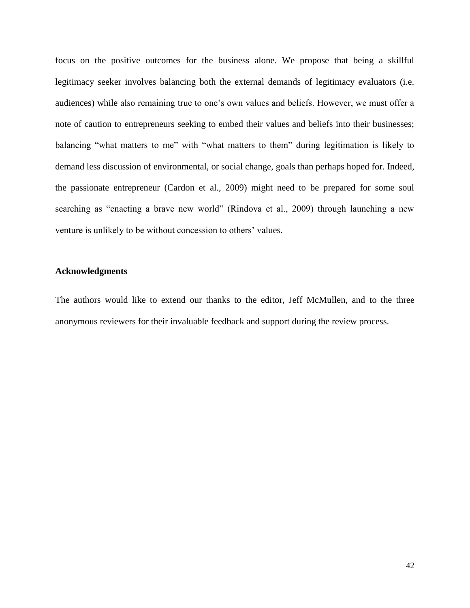focus on the positive outcomes for the business alone. We propose that being a skillful legitimacy seeker involves balancing both the external demands of legitimacy evaluators (i.e. audiences) while also remaining true to one's own values and beliefs. However, we must offer a note of caution to entrepreneurs seeking to embed their values and beliefs into their businesses; balancing "what matters to me" with "what matters to them" during legitimation is likely to demand less discussion of environmental, or social change, goals than perhaps hoped for. Indeed, the passionate entrepreneur (Cardon et al., 2009) might need to be prepared for some soul searching as "enacting a brave new world" (Rindova et al., 2009) through launching a new venture is unlikely to be without concession to others' values.

## **Acknowledgments**

The authors would like to extend our thanks to the editor, Jeff McMullen, and to the three anonymous reviewers for their invaluable feedback and support during the review process.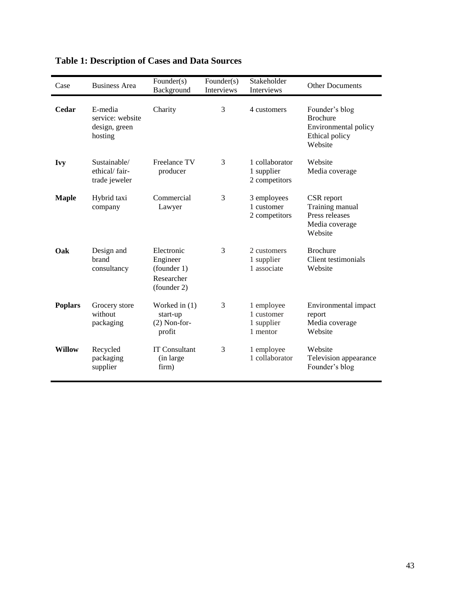| Case           | <b>Business Area</b>                                    | Founder $(s)$<br>Background                                        | Founder(s)<br>Interviews | Stakeholder<br>Interviews                          | <b>Other Documents</b>                                                                 |
|----------------|---------------------------------------------------------|--------------------------------------------------------------------|--------------------------|----------------------------------------------------|----------------------------------------------------------------------------------------|
| Cedar          | E-media<br>service: website<br>design, green<br>hosting | Charity                                                            | 3                        | 4 customers                                        | Founder's blog<br><b>Brochure</b><br>Environmental policy<br>Ethical policy<br>Website |
| <b>Ivy</b>     | Sustainable/<br>ethical/fair-<br>trade jeweler          | Freelance TV<br>producer                                           | 3                        | 1 collaborator<br>1 supplier<br>2 competitors      | Website<br>Media coverage                                                              |
| <b>Maple</b>   | Hybrid taxi<br>company                                  | Commercial<br>Lawyer                                               | 3                        | 3 employees<br>1 customer<br>2 competitors         | CSR report<br>Training manual<br>Press releases<br>Media coverage<br>Website           |
| Oak            | Design and<br>brand<br>consultancy                      | Electronic<br>Engineer<br>(founder 1)<br>Researcher<br>(founder 2) | 3                        | 2 customers<br>1 supplier<br>1 associate           | <b>Brochure</b><br>Client testimonials<br>Website                                      |
| <b>Poplars</b> | Grocery store<br>without<br>packaging                   | Worked in $(1)$<br>start-up<br>$(2)$ Non-for-<br>profit            | 3                        | 1 employee<br>1 customer<br>1 supplier<br>1 mentor | Environmental impact<br>report<br>Media coverage<br>Website                            |
| <b>Willow</b>  | Recycled<br>packaging<br>supplier                       | <b>IT Consultant</b><br>(in large<br>firm)                         | 3                        | 1 employee<br>1 collaborator                       | Website<br>Television appearance<br>Founder's blog                                     |

# **Table 1: Description of Cases and Data Sources**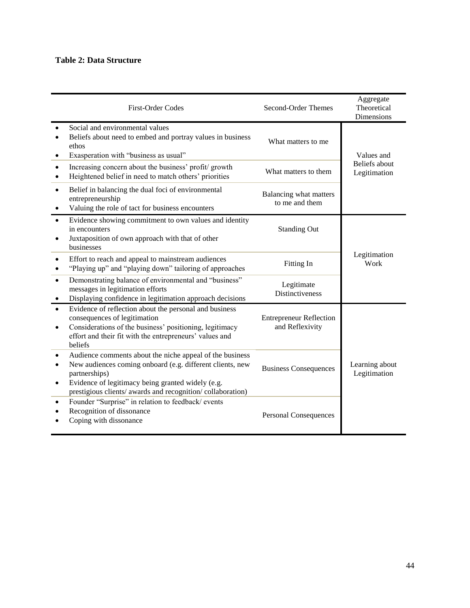## **Table 2: Data Structure**

|                                     | <b>First-Order Codes</b>                                                                                                                                                                                                                                   | Second-Order Themes                               | Aggregate<br>Theoretical<br><b>Dimensions</b> |
|-------------------------------------|------------------------------------------------------------------------------------------------------------------------------------------------------------------------------------------------------------------------------------------------------------|---------------------------------------------------|-----------------------------------------------|
| $\bullet$<br>$\bullet$<br>$\bullet$ | Social and environmental values<br>Beliefs about need to embed and portray values in business<br>ethos<br>Exasperation with "business as usual"                                                                                                            | What matters to me                                | Values and                                    |
| $\bullet$<br>$\bullet$              | Increasing concern about the business' profit/ growth<br>Heightened belief in need to match others' priorities                                                                                                                                             | What matters to them                              | Beliefs about<br>Legitimation                 |
| $\bullet$<br>$\bullet$              | Belief in balancing the dual foci of environmental<br>entrepreneurship<br>Valuing the role of tact for business encounters                                                                                                                                 | Balancing what matters<br>to me and them          |                                               |
| $\bullet$<br>$\bullet$              | Evidence showing commitment to own values and identity<br>in encounters<br>Juxtaposition of own approach with that of other<br>businesses                                                                                                                  | <b>Standing Out</b>                               |                                               |
| $\bullet$<br>$\bullet$              | Effort to reach and appeal to mainstream audiences<br>"Playing up" and "playing down" tailoring of approaches                                                                                                                                              | Fitting In                                        | Legitimation<br>Work                          |
| $\bullet$<br>٠                      | Demonstrating balance of environmental and "business"<br>messages in legitimation efforts<br>Displaying confidence in legitimation approach decisions                                                                                                      | Legitimate<br><b>Distinctiveness</b>              |                                               |
| $\bullet$<br>$\bullet$              | Evidence of reflection about the personal and business<br>consequences of legitimation<br>Considerations of the business' positioning, legitimacy<br>effort and their fit with the entrepreneurs' values and<br>beliefs                                    | <b>Entrepreneur Reflection</b><br>and Reflexivity |                                               |
| $\bullet$<br>$\bullet$<br>$\bullet$ | Audience comments about the niche appeal of the business<br>New audiences coming onboard (e.g. different clients, new<br>partnerships)<br>Evidence of legitimacy being granted widely (e.g.<br>prestigious clients/ awards and recognition/ collaboration) | <b>Business Consequences</b>                      | Learning about<br>Legitimation                |
| $\bullet$<br>$\bullet$              | Founder "Surprise" in relation to feedback/ events<br>Recognition of dissonance<br>Coping with dissonance                                                                                                                                                  | <b>Personal Consequences</b>                      |                                               |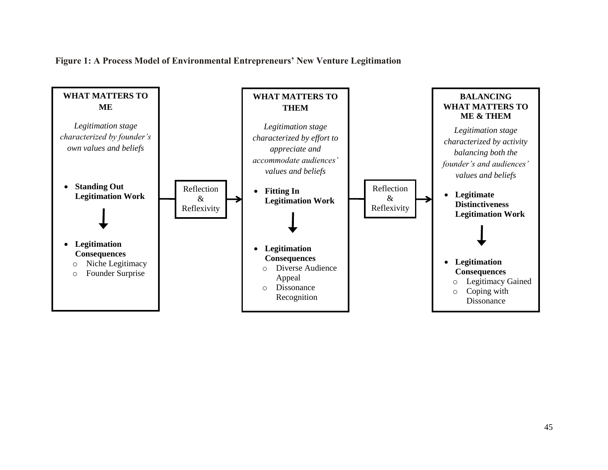

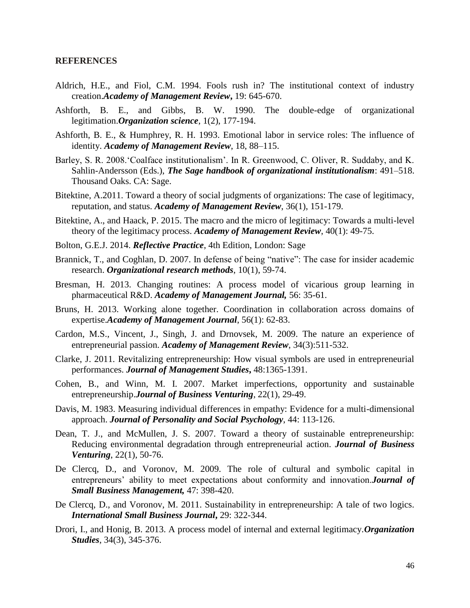#### **REFERENCES**

- Aldrich, H.E., and Fiol, C.M. 1994. Fools rush in? The institutional context of industry creation.*Academy of Management Review***,** 19: 645-670.
- Ashforth, B. E., and Gibbs, B. W. 1990. The double-edge of organizational legitimation.*Organization science*, 1(2), 177-194.
- Ashforth, B. E., & Humphrey, R. H. 1993. Emotional labor in service roles: The influence of identity. *Academy of Management Review*, 18, 88–115.
- Barley, S. R. 2008. 'Coalface institutionalism'. In R. Greenwood, C. Oliver, R. Suddaby, and K. Sahlin-Andersson (Eds.), *The Sage handbook of organizational institutionalism*: 491–518. Thousand Oaks. CA: Sage.
- Bitektine, A.2011. Toward a theory of social judgments of organizations: The case of legitimacy, reputation, and status. *Academy of Management Review*, 36(1), 151-179.
- Bitektine, A., and Haack, P. 2015. The macro and the micro of legitimacy: Towards a multi-level theory of the legitimacy process. *Academy of Management Review*, 40(1): 49-75.
- Bolton, G.E.J. 2014. *Reflective Practice*, 4th Edition, London: Sage
- Brannick, T., and Coghlan, D. 2007. In defense of being "native": The case for insider academic research. *Organizational research methods*, 10(1), 59-74.
- Bresman, H. 2013. Changing routines: A process model of vicarious group learning in pharmaceutical R&D. *Academy of Management Journal,* 56: 35-61.
- Bruns, H. 2013. Working alone together. Coordination in collaboration across domains of expertise.*Academy of Management Journal*, 56(1): 62-83.
- Cardon, M.S., Vincent, J., Singh, J. and Drnovsek, M. 2009. The nature an experience of entrepreneurial passion. *Academy of Management Review*, 34(3):511-532.
- Clarke, J. 2011. Revitalizing entrepreneurship: How visual symbols are used in entrepreneurial performances. *Journal of Management Studies***,** 48:1365-1391.
- Cohen, B., and Winn, M. I. 2007. Market imperfections, opportunity and sustainable entrepreneurship.*Journal of Business Venturing*, 22(1), 29-49.
- Davis, M. 1983. Measuring individual differences in empathy: Evidence for a multi-dimensional approach. *Journal of Personality and Social Psychology*, 44: 113-126.
- Dean, T. J., and McMullen, J. S. 2007. Toward a theory of sustainable entrepreneurship: Reducing environmental degradation through entrepreneurial action. *Journal of Business Venturing*, 22(1), 50-76.
- De Clercq, D., and Voronov, M. 2009. The role of cultural and symbolic capital in entrepreneurs' ability to meet expectations about conformity and innovation.*Journal of Small Business Management,* 47: 398-420.
- De Clercq, D., and Voronov, M. 2011. Sustainability in entrepreneurship: A tale of two logics. *International Small Business Journal***,** 29: 322-344.
- Drori, I., and Honig, B. 2013. A process model of internal and external legitimacy.*Organization Studies*, 34(3), 345-376.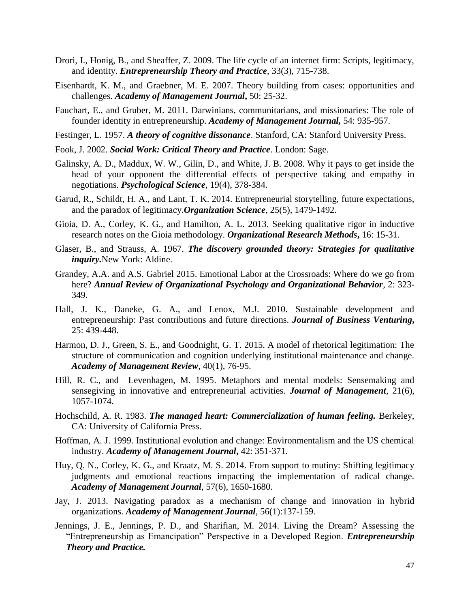- Drori, I., Honig, B., and Sheaffer, Z. 2009. The life cycle of an internet firm: Scripts, legitimacy, and identity. *Entrepreneurship Theory and Practice*, 33(3), 715-738.
- Eisenhardt, K. M., and Graebner, M. E. 2007. Theory building from cases: opportunities and challenges. *Academy of Management Journal***,** 50: 25-32.
- Fauchart, E., and Gruber, M. 2011. Darwinians, communitarians, and missionaries: The role of founder identity in entrepreneurship. *Academy of Management Journal,* 54: 935-957.
- Festinger, L. 1957. *A theory of cognitive dissonance*. Stanford, CA: Stanford University Press.
- Fook, J. 2002. *Social Work: Critical Theory and Practice*. London: Sage.
- Galinsky, A. D., Maddux, W. W., Gilin, D., and White, J. B. 2008. Why it pays to get inside the head of your opponent the differential effects of perspective taking and empathy in negotiations. *Psychological Science*, 19(4), 378-384.
- Garud, R., Schildt, H. A., and Lant, T. K. 2014. Entrepreneurial storytelling, future expectations, and the paradox of legitimacy.*Organization Science*, 25(5), 1479-1492.
- Gioia, D. A., Corley, K. G., and Hamilton, A. L. 2013. Seeking qualitative rigor in inductive research notes on the Gioia methodology. *Organizational Research Methods***,** 16: 15-31.
- Glaser, B., and Strauss, A. 1967. *The discovery grounded theory: Strategies for qualitative inquiry.*New York: Aldine.
- Grandey, A.A. and A.S. Gabriel 2015. Emotional Labor at the Crossroads: Where do we go from here? *Annual Review of Organizational Psychology and Organizational Behavior*, 2: 323- 349.
- Hall, J. K., Daneke, G. A., and Lenox, M.J. 2010. Sustainable development and entrepreneurship: Past contributions and future directions. *Journal of Business Venturing***,** 25: 439-448.
- Harmon, D. J., Green, S. E., and Goodnight, G. T. 2015. A model of rhetorical legitimation: The structure of communication and cognition underlying institutional maintenance and change. *Academy of Management Review*, 40(1), 76-95.
- Hill, R. C., and Levenhagen, M. 1995. Metaphors and mental models: Sensemaking and sensegiving in innovative and entrepreneurial activities. *Journal of Management*, 21(6), 1057-1074.
- Hochschild, A. R. 1983. *The managed heart: Commercialization of human feeling.* Berkeley, CA: University of California Press.
- Hoffman, A. J. 1999. Institutional evolution and change: Environmentalism and the US chemical industry. *Academy of Management Journal***,** 42: 351-371.
- Huy, Q. N., Corley, K. G., and Kraatz, M. S. 2014. From support to mutiny: Shifting legitimacy judgments and emotional reactions impacting the implementation of radical change. *Academy of Management Journal*, 57(6), 1650-1680.
- Jay, J. 2013. Navigating paradox as a mechanism of change and innovation in hybrid organizations. *Academy of Management Journal*, 56(1):137-159.
- Jennings, J. E., Jennings, P. D., and Sharifian, M. 2014. Living the Dream? Assessing the "Entrepreneurship as Emancipation" Perspective in a Developed Region. *Entrepreneurship Theory and Practice.*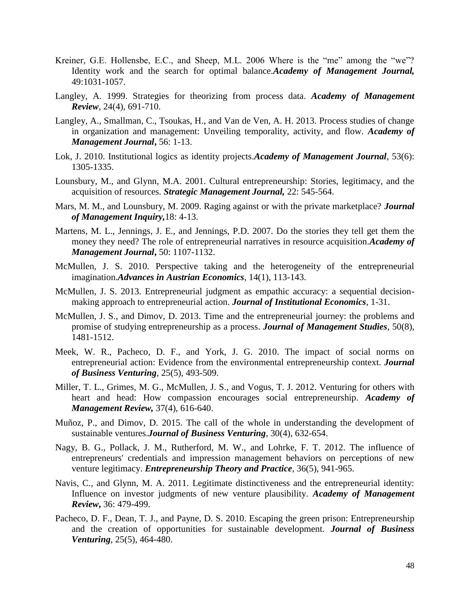- Kreiner, G.E. Hollensbe, E.C., and Sheep, M.L. 2006 Where is the "me" among the "we"? Identity work and the search for optimal balance.*Academy of Management Journal,*  49:1031-1057.
- Langley, A. 1999. Strategies for theorizing from process data. *Academy of Management Review*, 24(4), 691-710.
- Langley, A., Smallman, C., Tsoukas, H., and Van de Ven, A. H. 2013. Process studies of change in organization and management: Unveiling temporality, activity, and flow. *Academy of Management Journal***,** 56: 1-13.
- Lok, J. 2010. Institutional logics as identity projects.*Academy of Management Journal*, 53(6): 1305-1335.
- Lounsbury, M., and Glynn, M.A. 2001. Cultural entrepreneurship: Stories, legitimacy, and the acquisition of resources. *Strategic Management Journal,* 22: 545-564.
- Mars, M. M., and Lounsbury, M. 2009. Raging against or with the private marketplace? *Journal of Management Inquiry,*18: 4-13.
- Martens, M. L., Jennings, J. E., and Jennings, P.D. 2007. Do the stories they tell get them the money they need? The role of entrepreneurial narratives in resource acquisition.*Academy of Management Journal***,** 50: 1107-1132.
- McMullen, J. S. 2010. Perspective taking and the heterogeneity of the entrepreneurial imagination.*Advances in Austrian Economics*, 14(1), 113-143.
- McMullen, J. S. 2013. Entrepreneurial judgment as empathic accuracy: a sequential decisionmaking approach to entrepreneurial action. *Journal of Institutional Economics*, 1-31.
- McMullen, J. S., and Dimov, D. 2013. Time and the entrepreneurial journey: the problems and promise of studying entrepreneurship as a process. *Journal of Management Studies*, 50(8), 1481-1512.
- Meek, W. R., Pacheco, D. F., and York, J. G. 2010. The impact of social norms on entrepreneurial action: Evidence from the environmental entrepreneurship context. *Journal of Business Venturing*, 25(5), 493-509.
- Miller, T. L., Grimes, M. G., McMullen, J. S., and Vogus, T. J. 2012. Venturing for others with heart and head: How compassion encourages social entrepreneurship. *Academy of Management Review,* 37(4), 616-640.
- Muñoz, P., and Dimov, D. 2015. The call of the whole in understanding the development of sustainable ventures.*Journal of Business Venturing*, 30(4), 632-654.
- Nagy, B. G., Pollack, J. M., Rutherford, M. W., and Lohrke, F. T. 2012. The influence of entrepreneurs' credentials and impression management behaviors on perceptions of new venture legitimacy. *Entrepreneurship Theory and Practice*, 36(5), 941-965.
- Navis, C., and Glynn, M. A. 2011. Legitimate distinctiveness and the entrepreneurial identity: Influence on investor judgments of new venture plausibility. *Academy of Management Review***,** 36: 479-499.
- Pacheco, D. F., Dean, T. J., and Payne, D. S. 2010. Escaping the green prison: Entrepreneurship and the creation of opportunities for sustainable development. *Journal of Business Venturing*, 25(5), 464-480.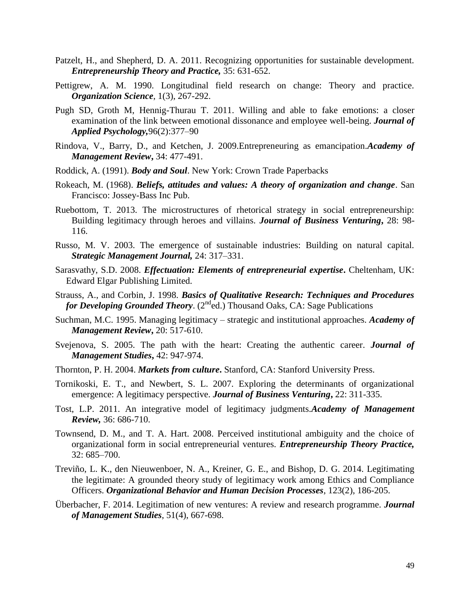- Patzelt, H., and Shepherd, D. A. 2011. Recognizing opportunities for sustainable development. *Entrepreneurship Theory and Practice,* 35: 631-652.
- Pettigrew, A. M. 1990. Longitudinal field research on change: Theory and practice. *Organization Science*, 1(3), 267-292.
- Pugh SD, Groth M, Hennig-Thurau T. 2011. Willing and able to fake emotions: a closer examination of the link between emotional dissonance and employee well-being. *Journal of Applied Psychology,*96(2):377–90
- Rindova, V., Barry, D., and Ketchen, J. 2009.Entrepreneuring as emancipation.*Academy of Management Review***,** 34: 477-491.
- Roddick, A. (1991). *Body and Soul*. New York: Crown Trade Paperbacks
- Rokeach, M. (1968). *Beliefs, attitudes and values: A theory of organization and change*. San Francisco: Jossey-Bass Inc Pub.
- Ruebottom, T. 2013. The microstructures of rhetorical strategy in social entrepreneurship: Building legitimacy through heroes and villains. *Journal of Business Venturing***,** 28: 98- 116.
- Russo, M. V. 2003. The emergence of sustainable industries: Building on natural capital. *Strategic Management Journal,* 24: 317–331.
- Sarasvathy, S.D. 2008. *Effectuation: Elements of entrepreneurial expertise***.** Cheltenham, UK: Edward Elgar Publishing Limited.
- Strauss, A., and Corbin, J. 1998. *Basics of Qualitative Research: Techniques and Procedures for Developing Grounded Theory.*  $(2^{nd}ed.)$  Thousand Oaks, CA: Sage Publications
- Suchman, M.C. 1995. Managing legitimacy strategic and institutional approaches. *Academy of Management Review***,** 20: 517-610.
- Svejenova, S. 2005. The path with the heart: Creating the authentic career. *Journal of Management Studies***,** 42: 947-974.
- Thornton, P. H. 2004. *Markets from culture***.** Stanford, CA: Stanford University Press.
- Tornikoski, E. T., and Newbert, S. L. 2007. Exploring the determinants of organizational emergence: A legitimacy perspective. *Journal of Business Venturing***,** 22: 311-335.
- Tost, L.P. 2011. An integrative model of legitimacy judgments.*Academy of Management Review,* 36: 686-710.
- Townsend, D. M., and T. A. Hart. 2008. Perceived institutional ambiguity and the choice of organizational form in social entrepreneurial ventures. *Entrepreneurship Theory Practice,* 32: 685–700.
- Treviño, L. K., den Nieuwenboer, N. A., Kreiner, G. E., and Bishop, D. G. 2014. Legitimating the legitimate: A grounded theory study of legitimacy work among Ethics and Compliance Officers. *Organizational Behavior and Human Decision Processes*, 123(2), 186-205.
- Überbacher, F. 2014. Legitimation of new ventures: A review and research programme. *Journal of Management Studies*, 51(4), 667-698.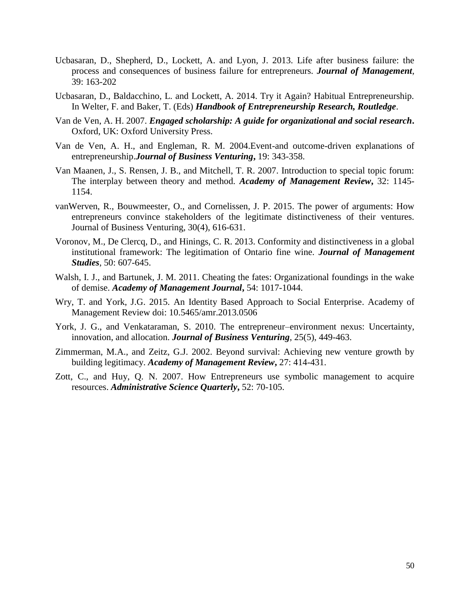- Ucbasaran, D., Shepherd, D., Lockett, A. and Lyon, J. 2013. Life after business failure: the process and consequences of business failure for entrepreneurs. *Journal of Management*, 39: 163-202
- Ucbasaran, D., Baldacchino, L. and Lockett, A. 2014. Try it Again? Habitual Entrepreneurship. In Welter, F. and Baker, T. (Eds) *Handbook of Entrepreneurship Research, Routledge*.
- Van de Ven, A. H. 2007. *Engaged scholarship: A guide for organizational and social research***.** Oxford, UK: Oxford University Press.
- Van de Ven, A. H., and Engleman, R. M. 2004.Event-and outcome-driven explanations of entrepreneurship.*Journal of Business Venturing***,** 19: 343-358.
- Van Maanen, J., S. Rensen, J. B., and Mitchell, T. R. 2007. Introduction to special topic forum: The interplay between theory and method. *Academy of Management Review***,** 32: 1145- 1154.
- vanWerven, R., Bouwmeester, O., and Cornelissen, J. P. 2015. The power of arguments: How entrepreneurs convince stakeholders of the legitimate distinctiveness of their ventures. Journal of Business Venturing, 30(4), 616-631.
- Voronov, M., De Clercq, D., and Hinings, C. R. 2013. Conformity and distinctiveness in a global institutional framework: The legitimation of Ontario fine wine. *Journal of Management Studies*, 50: 607-645.
- Walsh, I. J., and Bartunek, J. M. 2011. Cheating the fates: Organizational foundings in the wake of demise. *Academy of Management Journal***,** 54: 1017-1044.
- Wry, T. and York, J.G. 2015. An Identity Based Approach to Social Enterprise. Academy of Management Review doi: 10.5465/amr.2013.0506
- York, J. G., and Venkataraman, S. 2010. The entrepreneur–environment nexus: Uncertainty, innovation, and allocation. *Journal of Business Venturing*, 25(5), 449-463.
- Zimmerman, M.A., and Zeitz, G.J. 2002. Beyond survival: Achieving new venture growth by building legitimacy. *Academy of Management Review***,** 27: 414-431.
- Zott, C., and Huy, Q. N. 2007. How Entrepreneurs use symbolic management to acquire resources. *Administrative Science Quarterly***,** 52: 70-105.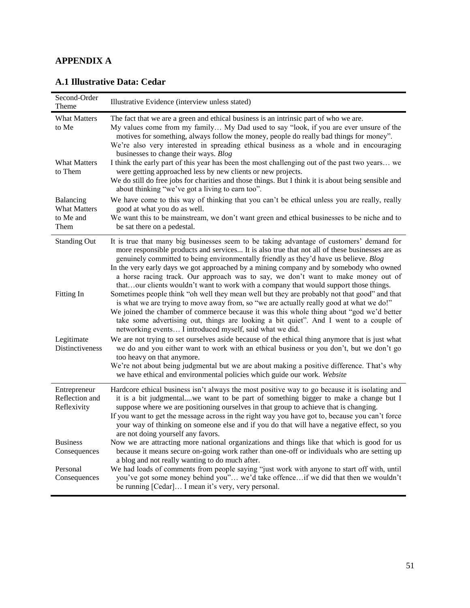# **APPENDIX A**

| Second-Order<br>Theme                                 | Illustrative Evidence (interview unless stated)                                                                                                                                                                                                                                                                                                                                                                                                                                                                                                             |
|-------------------------------------------------------|-------------------------------------------------------------------------------------------------------------------------------------------------------------------------------------------------------------------------------------------------------------------------------------------------------------------------------------------------------------------------------------------------------------------------------------------------------------------------------------------------------------------------------------------------------------|
| <b>What Matters</b><br>to Me                          | The fact that we are a green and ethical business is an intrinsic part of who we are.<br>My values come from my family My Dad used to say "look, if you are ever unsure of the<br>motives for something, always follow the money, people do really bad things for money".<br>We're also very interested in spreading ethical business as a whole and in encouraging<br>businesses to change their ways. Blog                                                                                                                                                |
| <b>What Matters</b><br>to Them                        | I think the early part of this year has been the most challenging out of the past two years we<br>were getting approached less by new clients or new projects.<br>We do still do free jobs for charities and those things. But I think it is about being sensible and<br>about thinking "we've got a living to earn too".                                                                                                                                                                                                                                   |
| Balancing<br><b>What Matters</b><br>to Me and<br>Them | We have come to this way of thinking that you can't be ethical unless you are really, really<br>good at what you do as well.<br>We want this to be mainstream, we don't want green and ethical businesses to be niche and to<br>be sat there on a pedestal.                                                                                                                                                                                                                                                                                                 |
| <b>Standing Out</b>                                   | It is true that many big businesses seem to be taking advantage of customers' demand for<br>more responsible products and services It is also true that not all of these businesses are as<br>genuinely committed to being environmentally friendly as they'd have us believe. Blog<br>In the very early days we got approached by a mining company and by somebody who owned<br>a horse racing track. Our approach was to say, we don't want to make money out of<br>thatour clients wouldn't want to work with a company that would support those things. |
| Fitting In                                            | Sometimes people think "oh well they mean well but they are probably not that good" and that<br>is what we are trying to move away from, so "we are actually really good at what we do!"<br>We joined the chamber of commerce because it was this whole thing about "god we'd better<br>take some advertising out, things are looking a bit quiet". And I went to a couple of<br>networking events I introduced myself, said what we did.                                                                                                                   |
| Legitimate<br>Distinctiveness                         | We are not trying to set ourselves aside because of the ethical thing anymore that is just what<br>we do and you either want to work with an ethical business or you don't, but we don't go<br>too heavy on that anymore.<br>We're not about being judgmental but we are about making a positive difference. That's why<br>we have ethical and environmental policies which guide our work. Website                                                                                                                                                         |
| Entrepreneur<br>Reflection and<br>Reflexivity         | Hardcore ethical business isn't always the most positive way to go because it is isolating and<br>it is a bit judgmentalwe want to be part of something bigger to make a change but I<br>suppose where we are positioning ourselves in that group to achieve that is changing.<br>If you want to get the message across in the right way you have got to, because you can't force<br>your way of thinking on someone else and if you do that will have a negative effect, so you<br>are not doing yourself any favors.                                      |
| <b>Business</b><br>Consequences<br>Personal           | Now we are attracting more national organizations and things like that which is good for us<br>because it means secure on-going work rather than one-off or individuals who are setting up<br>a blog and not really wanting to do much after.<br>We had loads of comments from people saying "just work with anyone to start off with, until<br>you've got some money behind you" we'd take offenceif we did that then we wouldn't                                                                                                                          |

# **A.1 Illustrative Data: Cedar**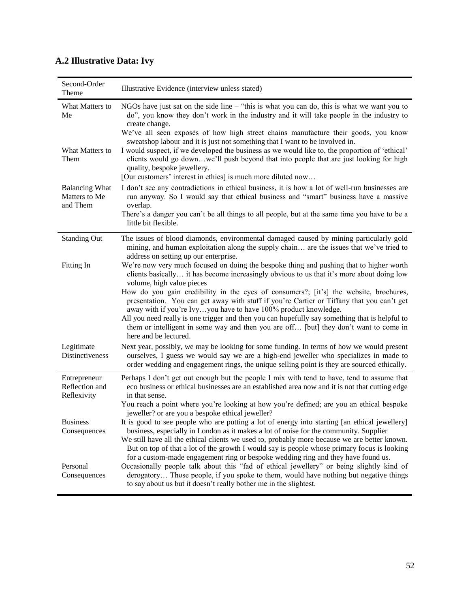| Second-Order<br>Theme                              | Illustrative Evidence (interview unless stated)                                                                                                                                                                                                                                                                                                                                                                                                                            |
|----------------------------------------------------|----------------------------------------------------------------------------------------------------------------------------------------------------------------------------------------------------------------------------------------------------------------------------------------------------------------------------------------------------------------------------------------------------------------------------------------------------------------------------|
| What Matters to<br>Me                              | NGOs have just sat on the side line $-$ "this is what you can do, this is what we want you to<br>do", you know they don't work in the industry and it will take people in the industry to<br>create change.                                                                                                                                                                                                                                                                |
| What Matters to<br>Them                            | We've all seen exposés of how high street chains manufacture their goods, you know<br>sweatshop labour and it is just not something that I want to be involved in.<br>I would suspect, if we developed the business as we would like to, the proportion of 'ethical'<br>clients would go downwe'll push beyond that into people that are just looking for high<br>quality, bespoke jewellery.<br>[Our customers' interest in ethics] is much more diluted now              |
| <b>Balancing What</b><br>Matters to Me<br>and Them | I don't see any contradictions in ethical business, it is how a lot of well-run businesses are<br>run anyway. So I would say that ethical business and "smart" business have a massive<br>overlap.<br>There's a danger you can't be all things to all people, but at the same time you have to be a<br>little bit flexible.                                                                                                                                                |
| <b>Standing Out</b>                                | The issues of blood diamonds, environmental damaged caused by mining particularly gold                                                                                                                                                                                                                                                                                                                                                                                     |
|                                                    | mining, and human exploitation along the supply chain are the issues that we've tried to<br>address on setting up our enterprise.                                                                                                                                                                                                                                                                                                                                          |
| Fitting In                                         | We're now very much focused on doing the bespoke thing and pushing that to higher worth<br>clients basically it has become increasingly obvious to us that it's more about doing low<br>volume, high value pieces                                                                                                                                                                                                                                                          |
|                                                    | How do you gain credibility in the eyes of consumers?; [it's] the website, brochures,<br>presentation. You can get away with stuff if you're Cartier or Tiffany that you can't get<br>away with if you're Ivyyou have to have 100% product knowledge.<br>All you need really is one trigger and then you can hopefully say something that is helpful to<br>them or intelligent in some way and then you are off [but] they don't want to come in<br>here and be lectured.  |
| Legitimate<br>Distinctiveness                      | Next year, possibly, we may be looking for some funding. In terms of how we would present<br>ourselves, I guess we would say we are a high-end jeweller who specializes in made to<br>order wedding and engagement rings, the unique selling point is they are sourced ethically.                                                                                                                                                                                          |
| Entrepreneur<br>Reflection and<br>Reflexivity      | Perhaps I don't get out enough but the people I mix with tend to have, tend to assume that<br>eco business or ethical businesses are an established area now and it is not that cutting edge<br>in that sense.                                                                                                                                                                                                                                                             |
|                                                    | You reach a point where you're looking at how you're defined; are you an ethical bespoke<br>jeweller? or are you a bespoke ethical jeweller?                                                                                                                                                                                                                                                                                                                               |
| <b>Business</b><br>Consequences                    | It is good to see people who are putting a lot of energy into starting [an ethical jewellery]<br>business, especially in London as it makes a lot of noise for the community. Supplier<br>We still have all the ethical clients we used to, probably more because we are better known.<br>But on top of that a lot of the growth I would say is people whose primary focus is looking<br>for a custom-made engagement ring or bespoke wedding ring and they have found us. |
| Personal<br>Consequences                           | Occasionally people talk about this "fad of ethical jewellery" or being slightly kind of<br>derogatory Those people, if you spoke to them, would have nothing but negative things<br>to say about us but it doesn't really bother me in the slightest.                                                                                                                                                                                                                     |

# **A.2 Illustrative Data: Ivy**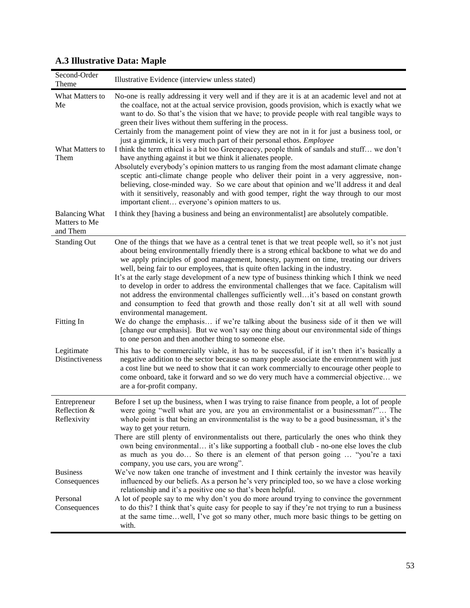| Second-Order<br>Theme                              | Illustrative Evidence (interview unless stated)                                                                                                                                                                                                                                                                                                                                                                                                                                                                                                                                                                                                                                                                                                                                          |
|----------------------------------------------------|------------------------------------------------------------------------------------------------------------------------------------------------------------------------------------------------------------------------------------------------------------------------------------------------------------------------------------------------------------------------------------------------------------------------------------------------------------------------------------------------------------------------------------------------------------------------------------------------------------------------------------------------------------------------------------------------------------------------------------------------------------------------------------------|
| What Matters to<br>Me                              | No-one is really addressing it very well and if they are it is at an academic level and not at<br>the coalface, not at the actual service provision, goods provision, which is exactly what we<br>want to do. So that's the vision that we have; to provide people with real tangible ways to<br>green their lives without them suffering in the process.<br>Certainly from the management point of view they are not in it for just a business tool, or<br>just a gimmick, it is very much part of their personal ethos. Employee                                                                                                                                                                                                                                                       |
| What Matters to<br>Them                            | I think the term ethical is a bit too Greenpeacey, people think of sandals and stuff we don't<br>have anything against it but we think it alienates people.<br>Absolutely everybody's opinion matters to us ranging from the most adamant climate change<br>sceptic anti-climate change people who deliver their point in a very aggressive, non-<br>believing, close-minded way. So we care about that opinion and we'll address it and deal<br>with it sensitively, reasonably and with good temper, right the way through to our most<br>important client everyone's opinion matters to us.                                                                                                                                                                                           |
| <b>Balancing What</b><br>Matters to Me<br>and Them | I think they [having a business and being an environmentalist] are absolutely compatible.                                                                                                                                                                                                                                                                                                                                                                                                                                                                                                                                                                                                                                                                                                |
| <b>Standing Out</b>                                | One of the things that we have as a central tenet is that we treat people well, so it's not just<br>about being environmentally friendly there is a strong ethical backbone to what we do and<br>we apply principles of good management, honesty, payment on time, treating our drivers<br>well, being fair to our employees, that is quite often lacking in the industry.<br>It's at the early stage development of a new type of business thinking which I think we need<br>to develop in order to address the environmental challenges that we face. Capitalism will<br>not address the environmental challenges sufficiently wellit's based on constant growth<br>and consumption to feed that growth and those really don't sit at all well with sound<br>environmental management. |
| Fitting In                                         | We do change the emphasis if we're talking about the business side of it then we will<br>[change our emphasis]. But we won't say one thing about our environmental side of things<br>to one person and then another thing to someone else.                                                                                                                                                                                                                                                                                                                                                                                                                                                                                                                                               |
| Legitimate<br>Distinctiveness                      | This has to be commercially viable, it has to be successful, if it isn't then it's basically a<br>negative addition to the sector because so many people associate the environment with just<br>a cost line but we need to show that it can work commercially to encourage other people to<br>come onboard, take it forward and so we do very much have a commercial objective we<br>are a for-profit company.                                                                                                                                                                                                                                                                                                                                                                           |
| Entrepreneur<br>Reflection &<br>Reflexivity        | Before I set up the business, when I was trying to raise finance from people, a lot of people<br>were going "well what are you, are you an environmentalist or a businessman?" The<br>whole point is that being an environmentalist is the way to be a good businessman, it's the<br>way to get your return.<br>There are still plenty of environmentalists out there, particularly the ones who think they<br>own being environmental it's like supporting a football club - no-one else loves the club<br>as much as you do So there is an element of that person going  "you're a taxi<br>company, you use cars, you are wrong".                                                                                                                                                      |
| <b>Business</b><br>Consequences                    | We've now taken one tranche of investment and I think certainly the investor was heavily<br>influenced by our beliefs. As a person he's very principled too, so we have a close working<br>relationship and it's a positive one so that's been helpful.                                                                                                                                                                                                                                                                                                                                                                                                                                                                                                                                  |
| Personal<br>Consequences                           | A lot of people say to me why don't you do more around trying to convince the government<br>to do this? I think that's quite easy for people to say if they're not trying to run a business<br>at the same timewell, I've got so many other, much more basic things to be getting on<br>with.                                                                                                                                                                                                                                                                                                                                                                                                                                                                                            |

## **A.3 Illustrative Data: Maple**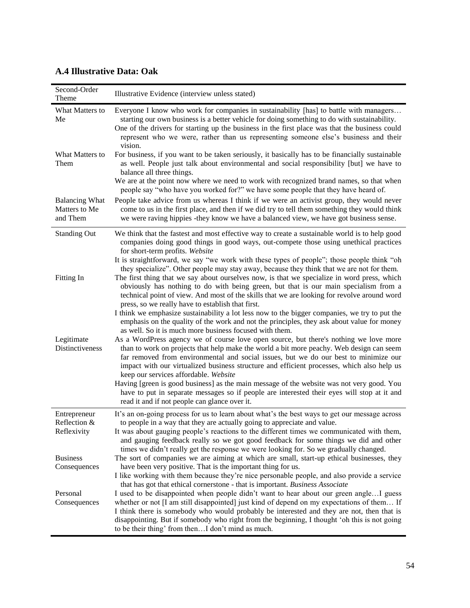| Second-Order<br>Theme                              | Illustrative Evidence (interview unless stated)                                                                                                                                                                                                                                                                                                                                                                                        |
|----------------------------------------------------|----------------------------------------------------------------------------------------------------------------------------------------------------------------------------------------------------------------------------------------------------------------------------------------------------------------------------------------------------------------------------------------------------------------------------------------|
| What Matters to<br>Me                              | Everyone I know who work for companies in sustainability [has] to battle with managers<br>starting our own business is a better vehicle for doing something to do with sustainability.<br>One of the drivers for starting up the business in the first place was that the business could<br>represent who we were, rather than us representing someone else's business and their<br>vision.                                            |
| What Matters to<br>Them                            | For business, if you want to be taken seriously, it basically has to be financially sustainable<br>as well. People just talk about environmental and social responsibility [but] we have to<br>balance all three things.                                                                                                                                                                                                               |
|                                                    | We are at the point now where we need to work with recognized brand names, so that when<br>people say "who have you worked for?" we have some people that they have heard of.                                                                                                                                                                                                                                                          |
| <b>Balancing What</b><br>Matters to Me<br>and Them | People take advice from us whereas I think if we were an activist group, they would never<br>come to us in the first place, and then if we did try to tell them something they would think<br>we were raving hippies -they know we have a balanced view, we have got business sense.                                                                                                                                                   |
| <b>Standing Out</b>                                | We think that the fastest and most effective way to create a sustainable world is to help good<br>companies doing good things in good ways, out-compete those using unethical practices<br>for short-term profits. Website                                                                                                                                                                                                             |
|                                                    | It is straightforward, we say "we work with these types of people"; those people think "oh                                                                                                                                                                                                                                                                                                                                             |
| Fitting In                                         | they specialize". Other people may stay away, because they think that we are not for them.<br>The first thing that we say about ourselves now, is that we specialize in word press, which<br>obviously has nothing to do with being green, but that is our main specialism from a<br>technical point of view. And most of the skills that we are looking for revolve around word<br>press, so we really have to establish that first.  |
|                                                    | I think we emphasize sustainability a lot less now to the bigger companies, we try to put the<br>emphasis on the quality of the work and not the principles, they ask about value for money<br>as well. So it is much more business focused with them.                                                                                                                                                                                 |
| Legitimate<br>Distinctiveness                      | As a WordPress agency we of course love open source, but there's nothing we love more<br>than to work on projects that help make the world a bit more peachy. Web design can seem<br>far removed from environmental and social issues, but we do our best to minimize our<br>impact with our virtualized business structure and efficient processes, which also help us<br>keep our services affordable. Website                       |
|                                                    | Having [green is good business] as the main message of the website was not very good. You<br>have to put in separate messages so if people are interested their eyes will stop at it and<br>read it and if not people can glance over it.                                                                                                                                                                                              |
| Entrepreneur<br>Reflection &                       | It's an on-going process for us to learn about what's the best ways to get our message across<br>to people in a way that they are actually going to appreciate and value.                                                                                                                                                                                                                                                              |
| Reflexivity                                        | It was about gauging people's reactions to the different times we communicated with them,<br>and gauging feedback really so we got good feedback for some things we did and other<br>times we didn't really get the response we were looking for. So we gradually changed.                                                                                                                                                             |
| <b>Business</b><br>Consequences                    | The sort of companies we are aiming at which are small, start-up ethical businesses, they<br>have been very positive. That is the important thing for us.<br>I like working with them because they're nice personable people, and also provide a service<br>that has got that ethical cornerstone - that is important. Business Associate                                                                                              |
| Personal<br>Consequences                           | I used to be disappointed when people didn't want to hear about our green angleI guess<br>whether or not [I am still disappointed] just kind of depend on my expectations of them If<br>I think there is somebody who would probably be interested and they are not, then that is<br>disappointing. But if somebody who right from the beginning, I thought 'oh this is not going<br>to be their thing' from thenI don't mind as much. |

# **A.4 Illustrative Data: Oak**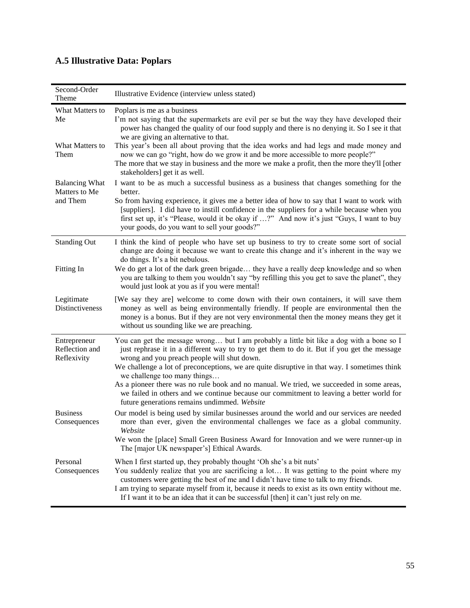# **A.5 Illustrative Data: Poplars**

| Second-Order<br>Theme                         | Illustrative Evidence (interview unless stated)                                                                                                                                                                                                                                                                                                                                                                                                     |
|-----------------------------------------------|-----------------------------------------------------------------------------------------------------------------------------------------------------------------------------------------------------------------------------------------------------------------------------------------------------------------------------------------------------------------------------------------------------------------------------------------------------|
| What Matters to<br>Me                         | Poplars is me as a business<br>I'm not saying that the supermarkets are evil per se but the way they have developed their<br>power has changed the quality of our food supply and there is no denying it. So I see it that<br>we are giving an alternative to that.                                                                                                                                                                                 |
| What Matters to<br>Them                       | This year's been all about proving that the idea works and had legs and made money and<br>now we can go "right, how do we grow it and be more accessible to more people?"<br>The more that we stay in business and the more we make a profit, then the more they'll [other<br>stakeholders] get it as well.                                                                                                                                         |
| <b>Balancing What</b><br>Matters to Me        | I want to be as much a successful business as a business that changes something for the<br>better.                                                                                                                                                                                                                                                                                                                                                  |
| and Them                                      | So from having experience, it gives me a better idea of how to say that I want to work with<br>[suppliers]. I did have to instill confidence in the suppliers for a while because when you<br>first set up, it's "Please, would it be okay if ?" And now it's just "Guys, I want to buy<br>your goods, do you want to sell your goods?"                                                                                                             |
| <b>Standing Out</b>                           | I think the kind of people who have set up business to try to create some sort of social<br>change are doing it because we want to create this change and it's inherent in the way we<br>do things. It's a bit nebulous.                                                                                                                                                                                                                            |
| Fitting In                                    | We do get a lot of the dark green brigade they have a really deep knowledge and so when<br>you are talking to them you wouldn't say "by refilling this you get to save the planet", they<br>would just look at you as if you were mental!                                                                                                                                                                                                           |
| Legitimate<br>Distinctiveness                 | [We say they are] welcome to come down with their own containers, it will save them<br>money as well as being environmentally friendly. If people are environmental then the<br>money is a bonus. But if they are not very environmental then the money means they get it<br>without us sounding like we are preaching.                                                                                                                             |
| Entrepreneur<br>Reflection and<br>Reflexivity | You can get the message wrong but I am probably a little bit like a dog with a bone so I<br>just rephrase it in a different way to try to get them to do it. But if you get the message<br>wrong and you preach people will shut down.<br>We challenge a lot of preconceptions, we are quite disruptive in that way. I sometimes think                                                                                                              |
|                                               | we challenge too many things<br>As a pioneer there was no rule book and no manual. We tried, we succeeded in some areas,<br>we failed in others and we continue because our commitment to leaving a better world for<br>future generations remains undimmed. Website                                                                                                                                                                                |
| <b>Business</b><br>Consequences               | Our model is being used by similar businesses around the world and our services are needed<br>more than ever, given the environmental challenges we face as a global community.<br>Website                                                                                                                                                                                                                                                          |
|                                               | We won the [place] Small Green Business Award for Innovation and we were runner-up in<br>The [major UK newspaper's] Ethical Awards.                                                                                                                                                                                                                                                                                                                 |
| Personal<br>Consequences                      | When I first started up, they probably thought 'Oh she's a bit nuts'<br>You suddenly realize that you are sacrificing a lot It was getting to the point where my<br>customers were getting the best of me and I didn't have time to talk to my friends.<br>I am trying to separate myself from it, because it needs to exist as its own entity without me.<br>If I want it to be an idea that it can be successful [then] it can't just rely on me. |